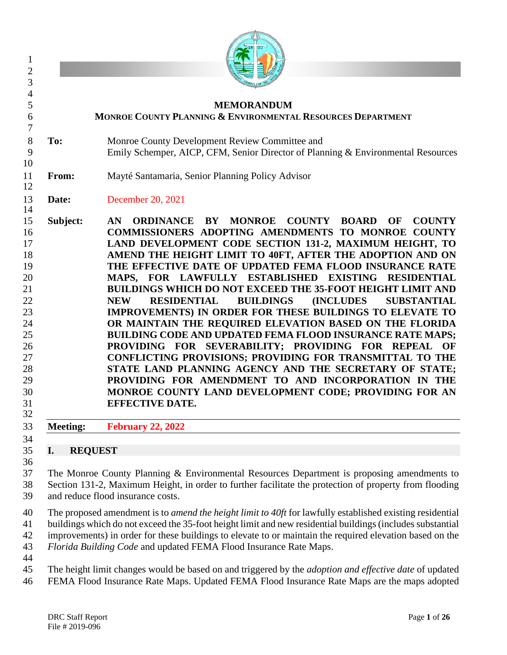|                      | <b>MEMORANDUM</b><br>MONROE COUNTY PLANNING & ENVIRONMENTAL RESOURCES DEPARTMENT                                                                                                                                                                                                                                                                                                                                                                                                                                                                                                                                                                                                                                                                                                                                                                                                                                                                                                                                                                           |
|----------------------|------------------------------------------------------------------------------------------------------------------------------------------------------------------------------------------------------------------------------------------------------------------------------------------------------------------------------------------------------------------------------------------------------------------------------------------------------------------------------------------------------------------------------------------------------------------------------------------------------------------------------------------------------------------------------------------------------------------------------------------------------------------------------------------------------------------------------------------------------------------------------------------------------------------------------------------------------------------------------------------------------------------------------------------------------------|
|                      |                                                                                                                                                                                                                                                                                                                                                                                                                                                                                                                                                                                                                                                                                                                                                                                                                                                                                                                                                                                                                                                            |
| To:                  | Monroe County Development Review Committee and<br>Emily Schemper, AICP, CFM, Senior Director of Planning & Environmental Resources                                                                                                                                                                                                                                                                                                                                                                                                                                                                                                                                                                                                                                                                                                                                                                                                                                                                                                                         |
| From:                | Mayté Santamaria, Senior Planning Policy Advisor                                                                                                                                                                                                                                                                                                                                                                                                                                                                                                                                                                                                                                                                                                                                                                                                                                                                                                                                                                                                           |
| Date:                | December 20, 2021                                                                                                                                                                                                                                                                                                                                                                                                                                                                                                                                                                                                                                                                                                                                                                                                                                                                                                                                                                                                                                          |
| Subject:             | BY MONROE COUNTY BOARD<br>AN<br><b>ORDINANCE</b><br>OF<br><b>COUNTY</b><br>COMMISSIONERS ADOPTING AMENDMENTS TO MONROE COUNTY<br>LAND DEVELOPMENT CODE SECTION 131-2, MAXIMUM HEIGHT, TO<br>AMEND THE HEIGHT LIMIT TO 40FT, AFTER THE ADOPTION AND ON<br>THE EFFECTIVE DATE OF UPDATED FEMA FLOOD INSURANCE RATE<br>MAPS, FOR LAWFULLY ESTABLISHED EXISTING RESIDENTIAL<br>BUILDINGS WHICH DO NOT EXCEED THE 35-FOOT HEIGHT LIMIT AND<br><b>BUILDINGS</b><br><b>(INCLUDES)</b><br><b>RESIDENTIAL</b><br><b>SUBSTANTIAL</b><br><b>NEW</b><br>IMPROVEMENTS) IN ORDER FOR THESE BUILDINGS TO ELEVATE TO<br>OR MAINTAIN THE REQUIRED ELEVATION BASED ON THE FLORIDA<br><b>BUILDING CODE AND UPDATED FEMA FLOOD INSURANCE RATE MAPS;</b><br>PROVIDING FOR SEVERABILITY; PROVIDING FOR REPEAL OF<br>CONFLICTING PROVISIONS; PROVIDING FOR TRANSMITTAL TO THE<br>STATE LAND PLANNING AGENCY AND THE SECRETARY OF STATE;<br>PROVIDING FOR AMENDMENT TO AND INCORPORATION IN THE<br>MONROE COUNTY LAND DEVELOPMENT CODE; PROVIDING FOR AN<br><b>EFFECTIVE DATE.</b> |
| <b>Meeting:</b>      | <b>February 22, 2022</b>                                                                                                                                                                                                                                                                                                                                                                                                                                                                                                                                                                                                                                                                                                                                                                                                                                                                                                                                                                                                                                   |
|                      |                                                                                                                                                                                                                                                                                                                                                                                                                                                                                                                                                                                                                                                                                                                                                                                                                                                                                                                                                                                                                                                            |
| <b>REQUEST</b><br>I. |                                                                                                                                                                                                                                                                                                                                                                                                                                                                                                                                                                                                                                                                                                                                                                                                                                                                                                                                                                                                                                                            |

 The proposed amendment is to *amend the height limit to 40ft* for lawfully established existing residential buildings which do not exceed the 35-foot height limit and new residential buildings (includes substantial improvements) in order for these buildings to elevate to or maintain the required elevation based on the

 *Florida Building Code* and updated FEMA Flood Insurance Rate Maps. 

 The height limit changes would be based on and triggered by the *adoption and effective date* of updated FEMA Flood Insurance Rate Maps. Updated FEMA Flood Insurance Rate Maps are the maps adopted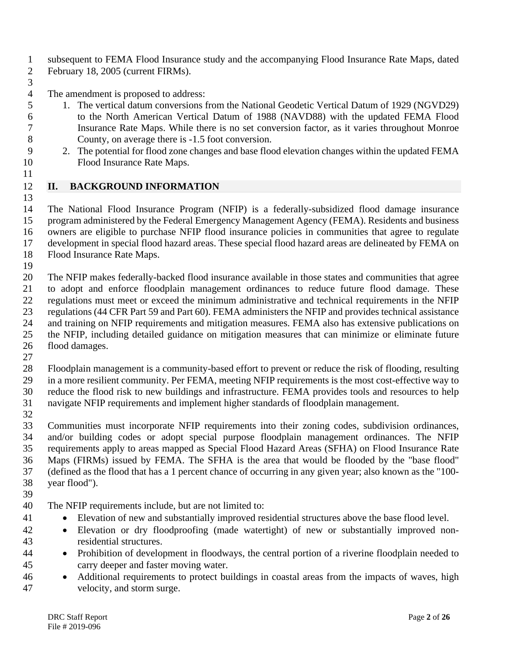subsequent to FEMA Flood Insurance study and the accompanying Flood Insurance Rate Maps, dated

- February 18, 2005 (current FIRMs).
- 

The amendment is proposed to address:

- 1. The vertical datum conversions from the National Geodetic Vertical Datum of 1929 (NGVD29)
- to the North American Vertical Datum of 1988 (NAVD88) with the updated FEMA Flood Insurance Rate Maps. While there is no set conversion factor, as it varies throughout Monroe County, on average there is -1.5 foot conversion.
- 2. The potential for flood zone changes and base flood elevation changes within the updated FEMA Flood Insurance Rate Maps.
- **II. BACKGROUND INFORMATION**

 The National Flood Insurance Program (NFIP) is a federally-subsidized flood damage insurance program administered by the Federal Emergency Management Agency (FEMA). Residents and business owners are eligible to purchase NFIP flood insurance policies in communities that agree to regulate development in special flood hazard areas. These special flood hazard areas are delineated by FEMA on Flood Insurance Rate Maps.

 The NFIP makes federally-backed flood insurance available in those states and communities that agree to adopt and enforce floodplain management ordinances to reduce future flood damage. These regulations must meet or exceed the minimum administrative and technical requirements in the NFIP regulations (44 CFR Part 59 and Part 60). FEMA administers the NFIP and provides technical assistance and training on NFIP requirements and mitigation measures. FEMA also has extensive publications on the NFIP, including detailed guidance on mitigation measures that can minimize or eliminate future flood damages.

 Floodplain management is a community-based effort to prevent or reduce the risk of flooding, resulting in a more resilient community. Per FEMA, meeting NFIP requirements is the most cost-effective way to reduce the flood risk to new buildings and infrastructure. FEMA provides tools and resources to help navigate NFIP requirements and implement higher standards of floodplain management.

 Communities must incorporate NFIP requirements into their zoning codes, subdivision ordinances, and/or building codes or adopt special purpose floodplain management ordinances. The NFIP requirements apply to areas mapped as Special Flood Hazard Areas (SFHA) on Flood Insurance Rate Maps (FIRMs) issued by FEMA. The SFHA is the area that would be flooded by the "base flood" (defined as the flood that has a 1 percent chance of occurring in any given year; also known as the "100- year flood").

- 
- The NFIP requirements include, but are not limited to:
- Elevation of new and substantially improved residential structures above the base flood level.
- Elevation or dry floodproofing (made watertight) of new or substantially improved non-residential structures.
- Prohibition of development in floodways, the central portion of a riverine floodplain needed to carry deeper and faster moving water.
- Additional requirements to protect buildings in coastal areas from the impacts of waves, high velocity, and storm surge.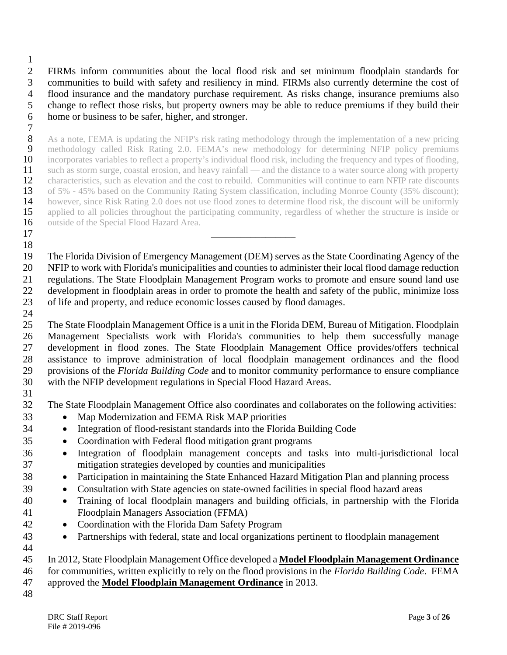FIRMs inform communities about the local flood risk and set minimum floodplain standards for communities to build with safety and resiliency in mind. FIRMs also currently determine the cost of flood insurance and the mandatory purchase requirement. As risks change, insurance premiums also change to reflect those risks, but property owners may be able to reduce premiums if they build their home or business to be safer, higher, and stronger.

 $\frac{7}{8}$  As a note, FEMA is updating the NFIP's risk rating methodology through the implementation of a new pricing 9 methodology called Risk Rating 2.0. FEMA's new methodology for determining NFIP policy premiums incorporates variables to reflect a property's individual flood risk, including the frequency and types of flooding, 10 incorporates variables to reflect a property's individual flood risk, including the frequency and types of flooding,<br>11 such as storm surge, coastal erosion, and heavy rainfall — and the distance to a water source along 11 such as storm surge, coastal erosion, and heavy rainfall — and the distance to a water source along with property<br>12 characteristics, such as elevation and the cost to rebuild. Communities will continue to earn NFIP rat 12 characteristics, such as elevation and the cost to rebuild. Communities will continue to earn NFIP rate discounts<br>13 of 5% - 45% based on the Community Rating System classification, including Monroe County (35% discount 13 of 5% - 45% based on the Community Rating System classification, including Monroe County (35% discount);<br>14 however, since Risk Rating 2.0 does not use flood zones to determine flood risk, the discount will be uniformly 14 however, since Risk Rating 2.0 does not use flood zones to determine flood risk, the discount will be uniformly<br>15 applied to all policies throughout the participating community, regardless of whether the structure is i applied to all policies throughout the participating community, regardless of whether the structure is inside or 16 outside of the Special Flood Hazard Area.

 The Florida Division of Emergency Management (DEM) serves as the State Coordinating Agency of the NFIP to work with Florida's municipalities and counties to administer their local flood damage reduction regulations. The State Floodplain Management Program works to promote and ensure sound land use development in floodplain areas in order to promote the health and safety of the public, minimize loss of life and property, and reduce economic losses caused by flood damages. 

 The State Floodplain Management Office is a unit in the Florida DEM, Bureau of Mitigation. Floodplain Management Specialists work with Florida's communities to help them successfully manage development in flood zones. The State Floodplain Management Office provides/offers technical assistance to improve administration of local floodplain management ordinances and the flood provisions of the *Florida Building Code* and to monitor community performance to ensure compliance with the NFIP development regulations in Special Flood Hazard Areas.

The State Floodplain Management Office also coordinates and collaborates on the following activities:

• Map Modernization and FEMA Risk MAP priorities

\_\_\_\_\_\_\_\_\_\_\_\_\_\_\_\_\_

- Integration of flood-resistant standards into the Florida Building Code
- Coordination with Federal flood mitigation grant programs
- Integration of floodplain management concepts and tasks into multi-jurisdictional local mitigation strategies developed by counties and municipalities
- Participation in maintaining the State Enhanced Hazard Mitigation Plan and planning process
- Consultation with State agencies on state-owned facilities in special flood hazard areas
- Training of local floodplain managers and building officials, in partnership with the Florida Floodplain Managers Association (FFMA)
- Coordination with the Florida Dam Safety Program
- Partnerships with federal, state and local organizations pertinent to floodplain management

# In 2012, State Floodplain Management Office developed a **Model Floodplain Management Ordinance**

 for communities, written explicitly to rely on the flood provisions in the *Florida Building Code*. FEMA approved the **Model Floodplain Management Ordinance** in 2013.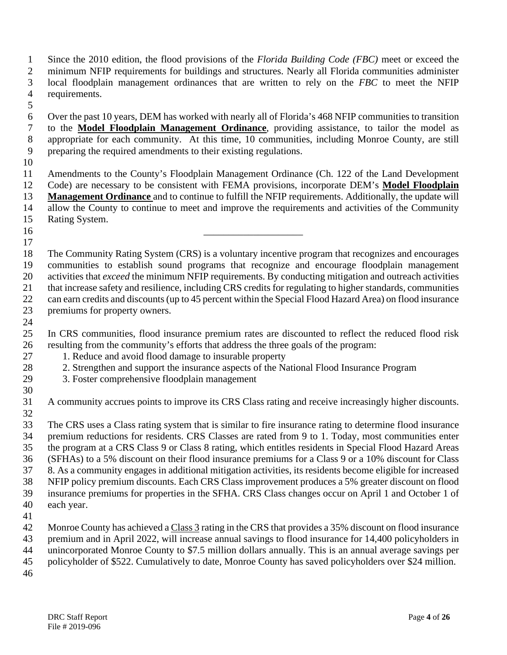Since the 2010 edition, the flood provisions of the *Florida Building Code (FBC)* meet or exceed the minimum NFIP requirements for buildings and structures. Nearly all Florida communities administer local floodplain management ordinances that are written to rely on the *FBC* to meet the NFIP requirements.

- Over the past 10 years, DEM has worked with nearly all of Florida's 468 NFIP communities to transition to the **Model Floodplain Management Ordinance**, providing assistance, to tailor the model as appropriate for each community. At this time, 10 communities, including Monroe County, are still preparing the required amendments to their existing regulations.
- 

 Amendments to the County's Floodplain Management Ordinance (Ch. 122 of the Land Development Code) are necessary to be consistent with FEMA provisions, incorporate DEM's **Model Floodplain Management Ordinance** and to continue to fulfill the NFIP requirements. Additionally, the update will allow the County to continue to meet and improve the requirements and activities of the Community Rating System.

- 
- The Community Rating System (CRS) is a voluntary incentive program that recognizes and encourages 19 communities to establish sound programs that recognize and encourage floodplain management<br>20 activities that *exceed* the minimum NFIP requirements. By conducting mitigation and outreach activities activities that *exceed* the minimum NFIP requirements. By conducting mitigation and outreach activities that increase safety and resilience, including CRS credits for regulating to higher standards, communities can earn credits and discounts (up to 45 percent within the Special Flood Hazard Area) on flood insurance premiums for property owners.
- 

 In CRS communities, flood insurance premium rates are discounted to reflect the reduced flood risk resulting from the community's efforts that address the three goals of the program:

- 1. Reduce and avoid flood damage to insurable property
- 2. Strengthen and support the insurance aspects of the National Flood Insurance Program
- 3. Foster comprehensive floodplain management
- A community accrues points to improve its CRS Class rating and receive increasingly higher discounts.

 The CRS uses a Class rating system that is similar to fire insurance rating to determine flood insurance premium reductions for residents. CRS Classes are rated from 9 to 1. Today, most communities enter the program at a CRS Class 9 or Class 8 rating, which entitles residents in Special Flood Hazard Areas (SFHAs) to a 5% discount on their flood insurance premiums for a Class 9 or a 10% discount for Class 8. As a community engages in additional mitigation activities, its residents become eligible for increased NFIP policy premium discounts. Each CRS Class improvement produces a 5% greater discount on flood insurance premiums for properties in the SFHA. CRS Class changes occur on April 1 and October 1 of each year.

 Monroe County has achieved a Class 3 rating in the CRS that provides a 35% discount on flood insurance premium and in April 2022, will increase annual savings to flood insurance for 14,400 policyholders in unincorporated Monroe County to \$7.5 million dollars annually. This is an annual average savings per policyholder of \$522. Cumulatively to date, Monroe County has saved policyholders over \$24 million.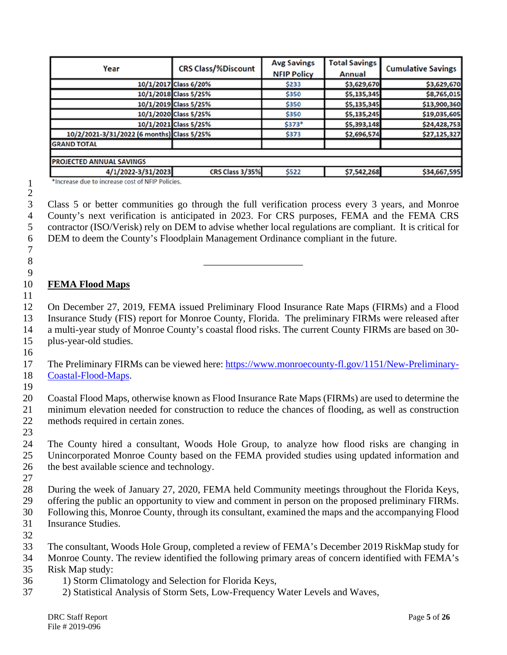| Year                                       | <b>CRS Class/%Discount</b> | <b>Avg Savings</b><br><b>NFIP Policy</b> | <b>Total Savings</b><br>Annual | <b>Cumulative Savings</b> |  |
|--------------------------------------------|----------------------------|------------------------------------------|--------------------------------|---------------------------|--|
|                                            | 10/1/2017 Class 6/20%      | \$233                                    | \$3,629,670                    | \$3,629,670               |  |
|                                            | 10/1/2018 Class 5/25%      | \$350                                    | \$5,135,345                    | \$8,765,015               |  |
|                                            | 10/1/2019 Class 5/25%      | \$350                                    | \$5,135,345                    | \$13,900,360              |  |
|                                            | 10/1/2020 Class 5/25%      | \$350                                    | \$5,135,245                    | \$19,035,605              |  |
|                                            | 10/1/2021 Class 5/25%      | \$373*                                   | \$5,393,148                    | \$24,428,753              |  |
| 10/2/2021-3/31/2022 (6 months) Class 5/25% |                            | \$373                                    | \$2,696,574                    | \$27,125,327              |  |
| <b>GRAND TOTAL</b>                         |                            |                                          |                                |                           |  |
|                                            |                            |                                          |                                |                           |  |
| PROJECTED ANNUAL SAVINGS                   |                            |                                          |                                |                           |  |
| 4/1/2022-3/31/2023                         | CRS Class 3/35%            | \$522                                    | \$7,542,268                    | \$34,667,595              |  |

\*Increase due to increase cost of NFIP Policies.

\_\_\_\_\_\_\_\_\_\_\_\_\_\_\_\_\_\_\_\_

 Class 5 or better communities go through the full verification process every 3 years, and Monroe County's next verification is anticipated in 2023. For CRS purposes, FEMA and the FEMA CRS contractor (ISO/Verisk) rely on DEM to advise whether local regulations are compliant. It is critical for DEM to deem the County's Floodplain Management Ordinance compliant in the future.

## **FEMA Flood Maps**

 

 On December 27, 2019, FEMA issued Preliminary Flood Insurance Rate Maps (FIRMs) and a Flood Insurance Study (FIS) report for Monroe County, Florida. The preliminary FIRMs were released after a multi-year study of Monroe County's coastal flood risks. The current County FIRMs are based on 30- plus-year-old studies.

 The Preliminary FIRMs can be viewed here: [https://www.monroecounty-fl.gov/1151/New-Preliminary-](https://www.monroecounty-fl.gov/1151/New-Preliminary-Coastal-Flood-Maps)[Coastal-Flood-Maps.](https://www.monroecounty-fl.gov/1151/New-Preliminary-Coastal-Flood-Maps)

 Coastal Flood Maps, otherwise known as Flood Insurance Rate Maps (FIRMs) are used to determine the minimum elevation needed for construction to reduce the chances of flooding, as well as construction methods required in certain zones.

 The County hired a consultant, Woods Hole Group, to analyze how flood risks are changing in Unincorporated Monroe County based on the FEMA provided studies using updated information and the best available science and technology.

 During the week of January 27, 2020, FEMA held Community meetings throughout the Florida Keys, offering the public an opportunity to view and comment in person on the proposed preliminary FIRMs. Following this, Monroe County, through its consultant, examined the maps and the accompanying Flood Insurance Studies.

The consultant, Woods Hole Group, completed a review of FEMA's December 2019 RiskMap study for

 Monroe County. The review identified the following primary areas of concern identified with FEMA's Risk Map study:

- 1) Storm Climatology and Selection for Florida Keys,
- 2) Statistical Analysis of Storm Sets, Low-Frequency Water Levels and Waves,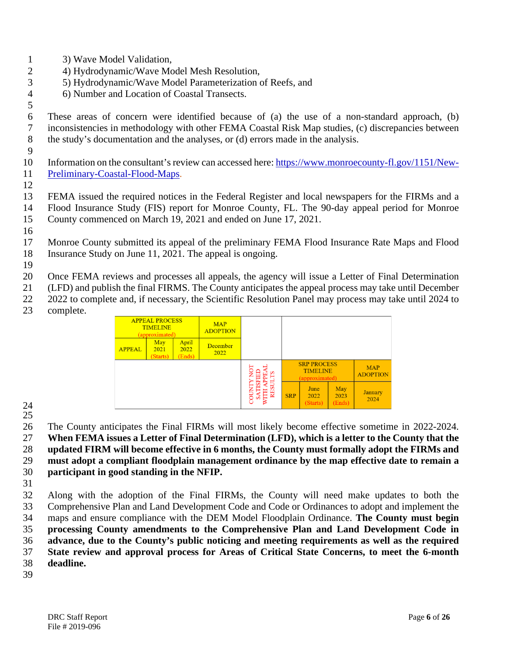- 3) Wave Model Validation,
- 4) Hydrodynamic/Wave Model Mesh Resolution,
- 5) Hydrodynamic/Wave Model Parameterization of Reefs, and
- 6) Number and Location of Coastal Transects.

 These areas of concern were identified because of (a) the use of a non-standard approach, (b) inconsistencies in methodology with other FEMA Coastal Risk Map studies, (c) discrepancies between the study's documentation and the analyses, or (d) errors made in the analysis.

- Information on the consultant's review can accessed here: [https://www.monroecounty-fl.gov/1151/New-](https://www.monroecounty-fl.gov/1151/New-Preliminary-Coastal-Flood-Maps)[Preliminary-Coastal-Flood-Maps.](https://www.monroecounty-fl.gov/1151/New-Preliminary-Coastal-Flood-Maps)
- 

 FEMA issued the required notices in the Federal Register and local newspapers for the FIRMs and a Flood Insurance Study (FIS) report for Monroe County, FL. The 90-day appeal period for Monroe County commenced on March 19, 2021 and ended on June 17, 2021.

 Monroe County submitted its appeal of the preliminary FEMA Flood Insurance Rate Maps and Flood Insurance Study on June 11, 2021. The appeal is ongoing.

Once FEMA reviews and processes all appeals, the agency will issue a Letter of Final Determination

(LFD) and publish the final FIRMS. The County anticipates the appeal process may take until December

- 2022 to complete and, if necessary, the Scientific Resolution Panel may process may take until 2024 to
- complete.

| <b>APPEAL PROCESS</b><br><b>TIMELINE</b><br>(approximated) |                         | <b>MAP</b><br><b>ADOPTION</b> |                         |   |            |                                                         |                       |                               |
|------------------------------------------------------------|-------------------------|-------------------------------|-------------------------|---|------------|---------------------------------------------------------|-----------------------|-------------------------------|
| <b>APPEAL</b>                                              | May<br>2021<br>(Starts) | April<br>2022<br>(Ends)       | <b>December</b><br>2022 |   |            |                                                         |                       |                               |
|                                                            |                         |                               |                         |   |            | <b>SRP PROCESS</b><br><b>TIMELINE</b><br>(approximated) |                       | <b>MAP</b><br><b>ADOPTION</b> |
|                                                            |                         |                               |                         | õ | <b>SRP</b> | June<br>2022<br>(Starts)                                | May<br>2023<br>(Ends) | <b>January</b><br>2024        |

 

 The County anticipates the Final FIRMs will most likely become effective sometime in 2022-2024. **When FEMA issues a Letter of Final Determination (LFD), which is a letter to the County that the updated FIRM will become effective in 6 months, the County must formally adopt the FIRMs and** 

 **must adopt a compliant floodplain management ordinance by the map effective date to remain a participant in good standing in the NFIP.**

 Along with the adoption of the Final FIRMs, the County will need make updates to both the Comprehensive Plan and Land Development Code and Code or Ordinances to adopt and implement the maps and ensure compliance with the DEM Model Floodplain Ordinance. **The County must begin processing County amendments to the Comprehensive Plan and Land Development Code in advance, due to the County's public noticing and meeting requirements as well as the required State review and approval process for Areas of Critical State Concerns, to meet the 6-month deadline.**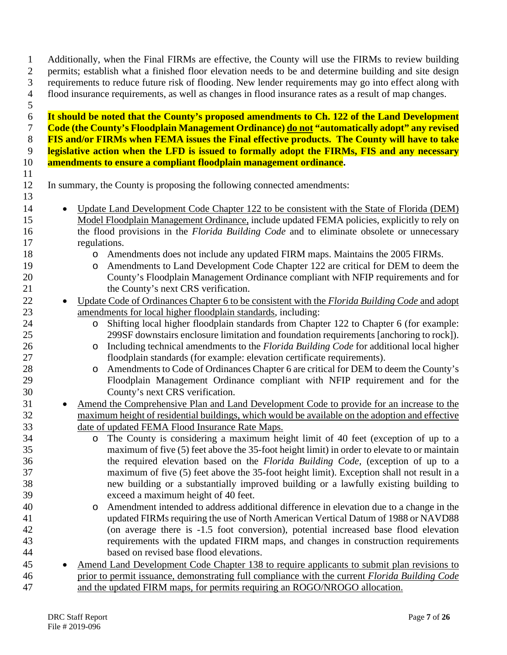permits; establish what a finished floor elevation needs to be and determine building and site design requirements to reduce future risk of flooding. New lender requirements may go into effect along with flood insurance requirements, as well as changes in flood insurance rates as a result of map changes. **It should be noted that the County's proposed amendments to Ch. 122 of the Land Development Code (the County's Floodplain Management Ordinance) do not "automatically adopt" any revised FIS and/or FIRMs when FEMA issues the Final effective products. The County will have to take legislative action when the LFD is issued to formally adopt the FIRMs, FIS and any necessary amendments to ensure a compliant floodplain management ordinance.** In summary, the County is proposing the following connected amendments: 14 • Update Land Development Code Chapter 122 to be consistent with the State of Florida (DEM) Model Floodplain Management Ordinance, include updated FEMA policies, explicitly to rely on the flood provisions in the *Florida Building Code* and to eliminate obsolete or unnecessary regulations. 18 o Amendments does not include any updated FIRM maps. Maintains the 2005 FIRMs.<br>19 o Amendments to Land Development Code Chapter 122 are critical for DEM to deem 19 o Amendments to Land Development Code Chapter 122 are critical for DEM to deem the<br>20 county's Floodplain Management Ordinance compliant with NFIP requirements and for County's Floodplain Management Ordinance compliant with NFIP requirements and for 21 the County's next CRS verification. • Update Code of Ordinances Chapter 6 to be consistent with the *Florida Building Code* and adopt amendments for local higher floodplain standards, including: 24 o Shifting local higher floodplain standards from Chapter 122 to Chapter 6 (for example:<br>25 299SF downstairs enclosure limitation and foundation requirements [anchoring to rock]). 299SF downstairs enclosure limitation and foundation requirements [anchoring to rock]). 26 o Including technical amendments to the *Florida Building Code* for additional local higher<br>27 code for example: elevation certificate requirements). floodplain standards (for example: elevation certificate requirements). 28 o Amendments to Code of Ordinances Chapter 6 are critical for DEM to deem the County's<br>29 Floodplain Management Ordinance compliant with NFIP requirement and for the Floodplain Management Ordinance compliant with NFIP requirement and for the County's next CRS verification. 31 • Amend the Comprehensive Plan and Land Development Code to provide for an increase to the maximum height of residential buildings, which would be available on the adoption and effective date of updated FEMA Flood Insurance Rate Maps. 34 o The County is considering a maximum height limit of 40 feet (exception of up to a maximum of five (5) feet above the 35-foot height limit) in order to elevate to or maintain maximum of five (5) feet above the 35-foot height limit) in order to elevate to or maintain the required elevation based on the *Florida Building Code,* (exception of up to a maximum of five (5) feet above the 35-foot height limit). Exception shall not result in a new building or a substantially improved building or a lawfully existing building to exceed a maximum height of 40 feet. 40 o Amendment intended to address additional difference in elevation due to a change in the updated FIRMs requiring the use of North American Vertical Datum of 1988 or NAVD88 updated FIRMs requiring the use of North American Vertical Datum of 1988 or NAVD88 (on average there is -1.5 foot conversion), potential increased base flood elevation requirements with the updated FIRM maps, and changes in construction requirements based on revised base flood elevations. • Amend Land Development Code Chapter 138 to require applicants to submit plan revisions to prior to permit issuance, demonstrating full compliance with the current *Florida Building Code*  and the updated FIRM maps, for permits requiring an ROGO/NROGO allocation.

Additionally, when the Final FIRMs are effective, the County will use the FIRMs to review building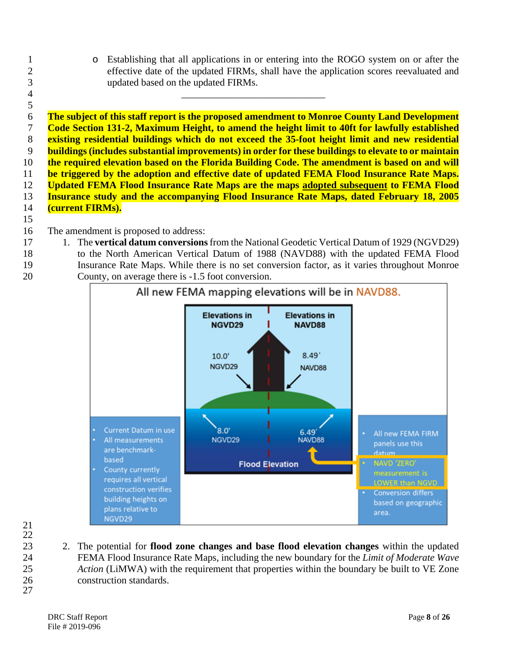1 o Establishing that all applications in or entering into the ROGO system on or after the<br>2 effective date of the updated FIRMs, shall have the application scores reevaluated and effective date of the updated FIRMs, shall have the application scores reevaluated and updated based on the updated FIRMs.

 **The subject of this staff report is the proposed amendment to Monroe County Land Development Code Section 131-2, Maximum Height, to amend the height limit to 40ft for lawfully established existing residential buildings which do not exceed the 35-foot height limit and new residential buildings (includes substantial improvements) in order for these buildings to elevate to or maintain the required elevation based on the Florida Building Code. The amendment is based on and will be triggered by the adoption and effective date of updated FEMA Flood Insurance Rate Maps. Updated FEMA Flood Insurance Rate Maps are the maps adopted subsequent to FEMA Flood Insurance study and the accompanying Flood Insurance Rate Maps, dated February 18, 2005 (current FIRMs).**

\_\_\_\_\_\_\_\_\_\_\_\_\_\_\_\_\_\_\_\_\_\_\_\_\_\_\_\_\_

- The amendment is proposed to address:
- 1. The **vertical datum conversions** from the National Geodetic Vertical Datum of 1929 (NGVD29)
- to the North American Vertical Datum of 1988 (NAVD88) with the updated FEMA Flood Insurance Rate Maps. While there is no set conversion factor, as it varies throughout Monroe County, on average there is -1.5 foot conversion.



- 
- 2. The potential for **flood zone changes and base flood elevation changes** within the updated FEMA Flood Insurance Rate Maps, including the new boundary for the *Limit of Moderate Wave Action* (LiMWA) with the requirement that properties within the boundary be built to VE Zone construction standards.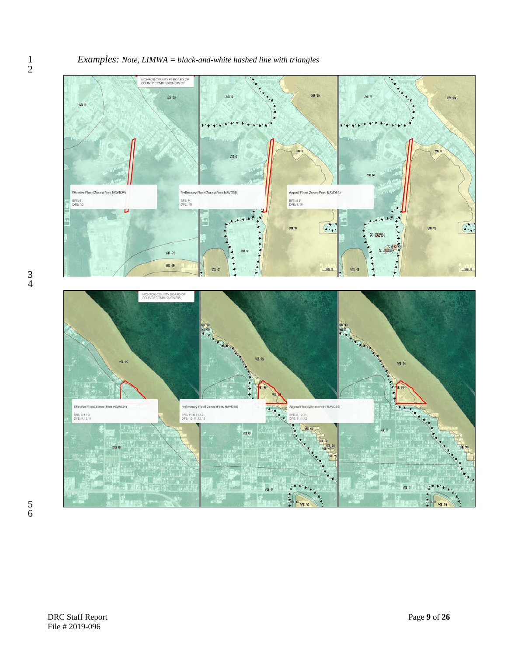#### *Examples: Note, LIMWA = black-and-white hashed line with triangles*



 $\frac{1}{2}$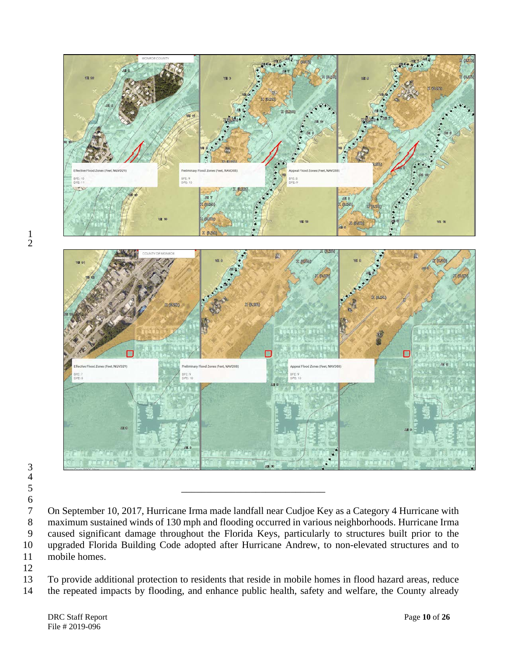

  $\frac{4}{5}$ 

7 On September 10, 2017, Hurricane Irma made landfall near Cudjoe Key as a Category 4 Hurricane with<br>8 maximum sustained winds of 130 mph and flooding occurred in various neighborhoods. Hurricane Irma 8 maximum sustained winds of 130 mph and flooding occurred in various neighborhoods. Hurricane Irma<br>9 caused significant damage throughout the Florida Kevs, particularly to structures built prior to the caused significant damage throughout the Florida Keys, particularly to structures built prior to the upgraded Florida Building Code adopted after Hurricane Andrew, to non-elevated structures and to mobile homes.

 To provide additional protection to residents that reside in mobile homes in flood hazard areas, reduce the repeated impacts by flooding, and enhance public health, safety and welfare, the County already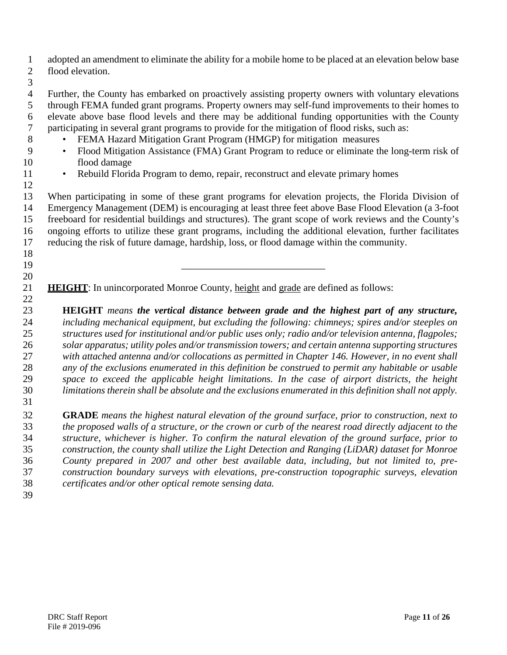adopted an amendment to eliminate the ability for a mobile home to be placed at an elevation below base flood elevation.

 Further, the County has embarked on proactively assisting property owners with voluntary elevations through FEMA funded grant programs. Property owners may self-fund improvements to their homes to 6 elevate above base flood levels and there may be additional funding opportunities with the County<br>7 participating in several grant programs to provide for the mitigation of flood risks, such as: participating in several grant programs to provide for the mitigation of flood risks, such as:

- FEMA Hazard Mitigation Grant Program (HMGP) for mitigation measures
- Flood Mitigation Assistance (FMA) Grant Program to reduce or eliminate the long-term risk of flood damage
- 
- 11 Rebuild Florida Program to demo, repair, reconstruct and elevate primary homes

 When participating in some of these grant programs for elevation projects, the Florida Division of Emergency Management (DEM) is encouraging at least three feet above Base Flood Elevation (a 3-foot freeboard for residential buildings and structures). The grant scope of work reviews and the County's ongoing efforts to utilize these grant programs, including the additional elevation, further facilitates reducing the risk of future damage, hardship, loss, or flood damage within the community.

**HEIGHT**: In unincorporated Monroe County, height and grade are defined as follows:

\_\_\_\_\_\_\_\_\_\_\_\_\_\_\_\_\_\_\_\_\_\_\_\_\_\_\_\_\_

 **HEIGHT** *means the vertical distance between grade and the highest part of any structure, including mechanical equipment, but excluding the following: chimneys; spires and/or steeples on structures used for institutional and/or public uses only; radio and/or television antenna, flagpoles; solar apparatus; utility poles and/or transmission towers; and certain antenna supporting structures with attached antenna and/or collocations as permitted in Chapter 146. However, in no event shall any of the exclusions enumerated in this definition be construed to permit any habitable or usable space to exceed the applicable height limitations. In the case of airport districts, the height limitations therein shall be absolute and the exclusions enumerated in this definition shall not apply.* 

 **GRADE** *means the highest natural elevation of the ground surface, prior to construction, next to the proposed walls of a structure, or the crown or curb of the nearest road directly adjacent to the structure, whichever is higher. To confirm the natural elevation of the ground surface, prior to construction, the county shall utilize the Light Detection and Ranging (LiDAR) dataset for Monroe County prepared in 2007 and other best available data, including, but not limited to, pre- construction boundary surveys with elevations, pre-construction topographic surveys, elevation certificates and/or other optical remote sensing data.*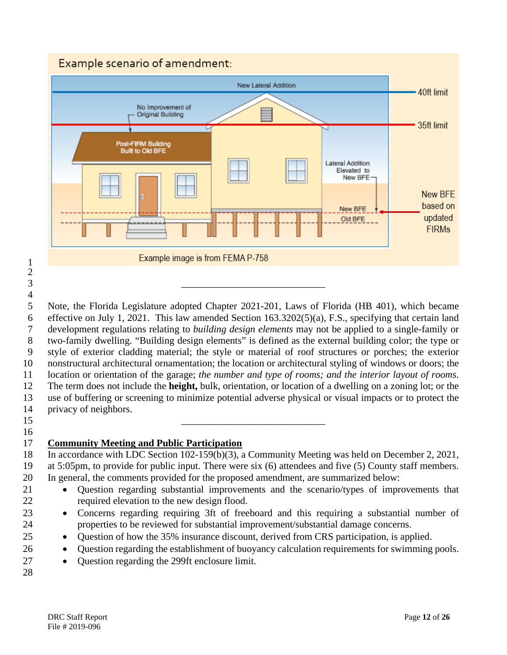# Example scenario of amendment:



 Note, the Florida Legislature adopted Chapter 2021-201, Laws of Florida (HB 401), which became effective on July 1, 2021. This law amended Section 163.3202(5)(a), F.S., specifying that certain land development regulations relating to *building design elements* may not be applied to a single-family or two-family dwelling. "Building design elements" is defined as the external building color; the type or style of exterior cladding material; the style or material of roof structures or porches; the exterior nonstructural architectural ornamentation; the location or architectural styling of windows or doors; the location or orientation of the garage; *the number and type of rooms; and the interior layout of rooms*. The term does not include the **height,** bulk, orientation, or location of a dwelling on a zoning lot; or the use of buffering or screening to minimize potential adverse physical or visual impacts or to protect the privacy of neighbors.

\_\_\_\_\_\_\_\_\_\_\_\_\_\_\_\_\_\_\_\_\_\_\_\_\_\_\_\_\_

 

# 

#### **Community Meeting and Public Participation**

\_\_\_\_\_\_\_\_\_\_\_\_\_\_\_\_\_\_\_\_\_\_\_\_\_\_\_\_\_

 In accordance with LDC Section 102-159(b)(3), a Community Meeting was held on December 2, 2021, at 5:05pm, to provide for public input. There were six (6) attendees and five (5) County staff members. In general, the comments provided for the proposed amendment, are summarized below:

- Question regarding substantial improvements and the scenario/types of improvements that required elevation to the new design flood.
- Concerns regarding requiring 3ft of freeboard and this requiring a substantial number of properties to be reviewed for substantial improvement/substantial damage concerns.
- Question of how the 35% insurance discount, derived from CRS participation, is applied.
- 26 Question regarding the establishment of buoyancy calculation requirements for swimming pools.
- Question regarding the 299ft enclosure limit.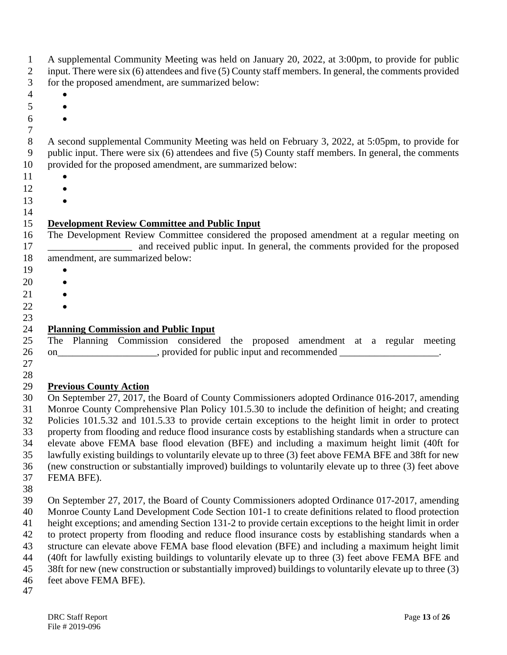| 1<br>2<br>3        | A supplemental Community Meeting was held on January 20, 2022, at 3:00pm, to provide for public<br>input. There were six (6) attendees and five (5) County staff members. In general, the comments provided<br>for the proposed amendment, are summarized below: |
|--------------------|------------------------------------------------------------------------------------------------------------------------------------------------------------------------------------------------------------------------------------------------------------------|
| $\overline{4}$     |                                                                                                                                                                                                                                                                  |
| 5                  |                                                                                                                                                                                                                                                                  |
| 6                  |                                                                                                                                                                                                                                                                  |
| $\tau$             |                                                                                                                                                                                                                                                                  |
| $8\,$              | A second supplemental Community Meeting was held on February 3, 2022, at 5:05pm, to provide for                                                                                                                                                                  |
| 9                  | public input. There were six (6) attendees and five (5) County staff members. In general, the comments                                                                                                                                                           |
| 10                 | provided for the proposed amendment, are summarized below:                                                                                                                                                                                                       |
| 11                 |                                                                                                                                                                                                                                                                  |
| 12                 |                                                                                                                                                                                                                                                                  |
| 13                 |                                                                                                                                                                                                                                                                  |
| 14                 |                                                                                                                                                                                                                                                                  |
| 15<br>16<br>17     | <b>Development Review Committee and Public Input</b><br>The Development Review Committee considered the proposed amendment at a regular meeting on<br>and received public input. In general, the comments provided for the proposed                              |
| 18                 | amendment, are summarized below:                                                                                                                                                                                                                                 |
| 19                 |                                                                                                                                                                                                                                                                  |
| 20                 |                                                                                                                                                                                                                                                                  |
| 21                 |                                                                                                                                                                                                                                                                  |
| 22                 |                                                                                                                                                                                                                                                                  |
| 23                 |                                                                                                                                                                                                                                                                  |
| 24                 | <b>Planning Commission and Public Input</b>                                                                                                                                                                                                                      |
| 25<br>26<br>$27\,$ | The Planning Commission considered the proposed amendment at a regular meeting<br>on________________________, provided for public input and recommended ____________________.                                                                                    |
| 28<br>29           | <b>Previous County Action</b>                                                                                                                                                                                                                                    |
| 30                 | On September 27, 2017, the Board of County Commissioners adopted Ordinance 016-2017, amending                                                                                                                                                                    |
| 31<br>32           | Monroe County Comprehensive Plan Policy 101.5.30 to include the definition of height; and creating<br>Policies 101.5.32 and 101.5.33 to provide certain exceptions to the height limit in order to protect                                                       |
| 33                 | property from flooding and reduce flood insurance costs by establishing standards when a structure can                                                                                                                                                           |
| 34                 | elevate above FEMA base flood elevation (BFE) and including a maximum height limit (40ft for                                                                                                                                                                     |
| 35                 | lawfully existing buildings to voluntarily elevate up to three (3) feet above FEMA BFE and 38ft for new                                                                                                                                                          |
| 36                 | (new construction or substantially improved) buildings to voluntarily elevate up to three (3) feet above                                                                                                                                                         |
| 37                 | FEMA BFE).                                                                                                                                                                                                                                                       |
| 38                 |                                                                                                                                                                                                                                                                  |
| 39                 | On September 27, 2017, the Board of County Commissioners adopted Ordinance 017-2017, amending                                                                                                                                                                    |
| 40                 | Monroe County Land Development Code Section 101-1 to create definitions related to flood protection                                                                                                                                                              |
| 41                 | height exceptions; and amending Section 131-2 to provide certain exceptions to the height limit in order                                                                                                                                                         |
| 42                 | to protect property from flooding and reduce flood insurance costs by establishing standards when a                                                                                                                                                              |
| 43                 | structure can elevate above FEMA base flood elevation (BFE) and including a maximum height limit                                                                                                                                                                 |
| 44                 | (40ft for lawfully existing buildings to voluntarily elevate up to three (3) feet above FEMA BFE and                                                                                                                                                             |
| 45                 | 38ft for new (new construction or substantially improved) buildings to voluntarily elevate up to three (3)                                                                                                                                                       |
| 46<br>47           | feet above FEMA BFE).                                                                                                                                                                                                                                            |
|                    |                                                                                                                                                                                                                                                                  |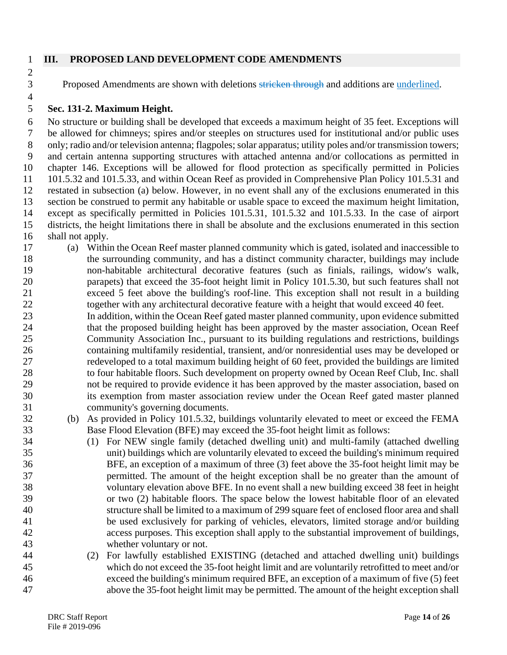# 

#### **III. PROPOSED LAND DEVELOPMENT CODE AMENDMENTS**

3 Proposed Amendments are shown with deletions stricken through and additions are underlined.

## **Sec. 131-2. Maximum Height.**

 No structure or building shall be developed that exceeds a maximum height of 35 feet. Exceptions will be allowed for chimneys; spires and/or steeples on structures used for institutional and/or public uses 8 only; radio and/or television antenna; flagpoles; solar apparatus; utility poles and/or transmission towers; and certain antenna supporting structures with attached antenna and/or collocations as permitted in chapter 146. Exceptions will be allowed for flood protection as specifically permitted in Policies 101.5.32 and 101.5.33, and within Ocean Reef as provided in Comprehensive Plan Policy 101.5.31 and restated in subsection (a) below. However, in no event shall any of the exclusions enumerated in this section be construed to permit any habitable or usable space to exceed the maximum height limitation, except as specifically permitted in Policies 101.5.31, 101.5.32 and 101.5.33. In the case of airport districts, the height limitations there in shall be absolute and the exclusions enumerated in this section shall not apply.

- (a) Within the Ocean Reef master planned community which is gated, isolated and inaccessible to the surrounding community, and has a distinct community character, buildings may include non-habitable architectural decorative features (such as finials, railings, widow's walk, parapets) that exceed the 35-foot height limit in Policy 101.5.30, but such features shall not exceed 5 feet above the building's roof-line. This exception shall not result in a building together with any architectural decorative feature with a height that would exceed 40 feet.
- In addition, within the Ocean Reef gated master planned community, upon evidence submitted 24 that the proposed building height has been approved by the master association, Ocean Reef Community Association Inc., pursuant to its building regulations and restrictions, buildings containing multifamily residential, transient, and/or nonresidential uses may be developed or redeveloped to a total maximum building height of 60 feet, provided the buildings are limited to four habitable floors. Such development on property owned by Ocean Reef Club, Inc. shall not be required to provide evidence it has been approved by the master association, based on its exemption from master association review under the Ocean Reef gated master planned community's governing documents.
- (b) As provided in Policy 101.5.32, buildings voluntarily elevated to meet or exceed the FEMA Base Flood Elevation (BFE) may exceed the 35-foot height limit as follows:
- (1) For NEW single family (detached dwelling unit) and multi-family (attached dwelling unit) buildings which are voluntarily elevated to exceed the building's minimum required BFE, an exception of a maximum of three (3) feet above the 35-foot height limit may be permitted. The amount of the height exception shall be no greater than the amount of voluntary elevation above BFE. In no event shall a new building exceed 38 feet in height or two (2) habitable floors. The space below the lowest habitable floor of an elevated structure shall be limited to a maximum of 299 square feet of enclosed floor area and shall be used exclusively for parking of vehicles, elevators, limited storage and/or building access purposes. This exception shall apply to the substantial improvement of buildings, whether voluntary or not.
- (2) For lawfully established EXISTING (detached and attached dwelling unit) buildings which do not exceed the 35-foot height limit and are voluntarily retrofitted to meet and/or exceed the building's minimum required BFE, an exception of a maximum of five (5) feet above the 35-foot height limit may be permitted. The amount of the height exception shall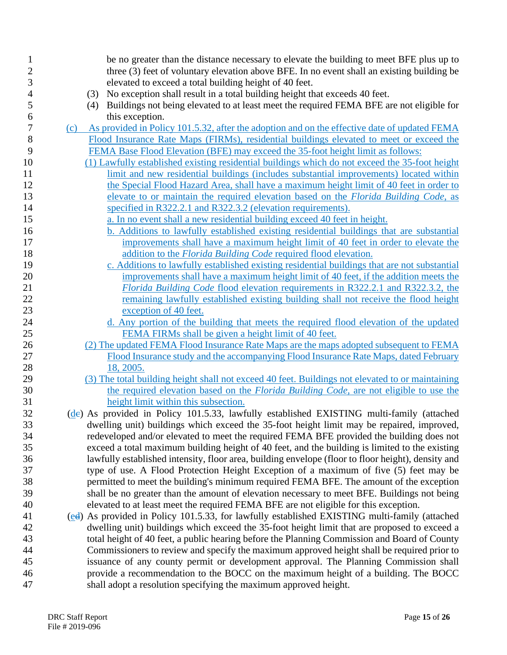| 1              | be no greater than the distance necessary to elevate the building to meet BFE plus up to                                                                                               |
|----------------|----------------------------------------------------------------------------------------------------------------------------------------------------------------------------------------|
| $\overline{c}$ | three (3) feet of voluntary elevation above BFE. In no event shall an existing building be                                                                                             |
| $\mathfrak{Z}$ | elevated to exceed a total building height of 40 feet.                                                                                                                                 |
| $\overline{4}$ | No exception shall result in a total building height that exceeds 40 feet.<br>(3)                                                                                                      |
| 5              | Buildings not being elevated to at least meet the required FEMA BFE are not eligible for<br>(4)                                                                                        |
| 6              | this exception.                                                                                                                                                                        |
| 7              | As provided in Policy 101.5.32, after the adoption and on the effective date of updated FEMA<br>(c)                                                                                    |
| 8              | Flood Insurance Rate Maps (FIRMs), residential buildings elevated to meet or exceed the                                                                                                |
| 9              | FEMA Base Flood Elevation (BFE) may exceed the 35-foot height limit as follows:                                                                                                        |
| 10             | (1) Lawfully established existing residential buildings which do not exceed the 35-foot height                                                                                         |
| 11             | limit and new residential buildings (includes substantial improvements) located within                                                                                                 |
| 12             | the Special Flood Hazard Area, shall have a maximum height limit of 40 feet in order to                                                                                                |
| 13             | elevate to or maintain the required elevation based on the Florida Building Code, as                                                                                                   |
| 14             | specified in R322.2.1 and R322.3.2 (elevation requirements).                                                                                                                           |
| 15             | a. In no event shall a new residential building exceed 40 feet in height.                                                                                                              |
| 16             | b. Additions to lawfully established existing residential buildings that are substantial                                                                                               |
| 17             | improvements shall have a maximum height limit of 40 feet in order to elevate the                                                                                                      |
| 18             | addition to the Florida Building Code required flood elevation.                                                                                                                        |
| 19             | c. Additions to lawfully established existing residential buildings that are not substantial                                                                                           |
| 20             | improvements shall have a maximum height limit of 40 feet, if the addition meets the                                                                                                   |
| 21             | Florida Building Code flood elevation requirements in R322.2.1 and R322.3.2, the                                                                                                       |
| 22             | remaining lawfully established existing building shall not receive the flood height                                                                                                    |
| 23             | exception of 40 feet.                                                                                                                                                                  |
| 24             | d. Any portion of the building that meets the required flood elevation of the updated                                                                                                  |
| 25             | FEMA FIRMs shall be given a height limit of 40 feet.                                                                                                                                   |
| 26             | (2) The updated FEMA Flood Insurance Rate Maps are the maps adopted subsequent to FEMA                                                                                                 |
| 27             | Flood Insurance study and the accompanying Flood Insurance Rate Maps, dated February                                                                                                   |
| 28             | 18, 2005.                                                                                                                                                                              |
| 29             | (3) The total building height shall not exceed 40 feet. Buildings not elevated to or maintaining                                                                                       |
| $30\,$         | the required elevation based on the <i>Florida Building Code</i> , are not eligible to use the                                                                                         |
| 31             | height limit within this subsection.                                                                                                                                                   |
| 32             | (de) As provided in Policy 101.5.33, lawfully established EXISTING multi-family (attached                                                                                              |
| 33             | dwelling unit) buildings which exceed the 35-foot height limit may be repaired, improved,                                                                                              |
| 34             | redeveloped and/or elevated to meet the required FEMA BFE provided the building does not                                                                                               |
| 35             | exceed a total maximum building height of 40 feet, and the building is limited to the existing                                                                                         |
| 36             | lawfully established intensity, floor area, building envelope (floor to floor height), density and                                                                                     |
| 37             | type of use. A Flood Protection Height Exception of a maximum of five (5) feet may be                                                                                                  |
| 38<br>39       | permitted to meet the building's minimum required FEMA BFE. The amount of the exception<br>shall be no greater than the amount of elevation necessary to meet BFE. Buildings not being |
| 40             | elevated to at least meet the required FEMA BFE are not eligible for this exception.                                                                                                   |
| 41             | (ed) As provided in Policy 101.5.33, for lawfully established EXISTING multi-family (attached                                                                                          |
| 42             | dwelling unit) buildings which exceed the 35-foot height limit that are proposed to exceed a                                                                                           |
| 43             | total height of 40 feet, a public hearing before the Planning Commission and Board of County                                                                                           |
| 44             | Commissioners to review and specify the maximum approved height shall be required prior to                                                                                             |
| 45             | issuance of any county permit or development approval. The Planning Commission shall                                                                                                   |
| 46             | provide a recommendation to the BOCC on the maximum height of a building. The BOCC                                                                                                     |
| 47             | shall adopt a resolution specifying the maximum approved height.                                                                                                                       |
|                |                                                                                                                                                                                        |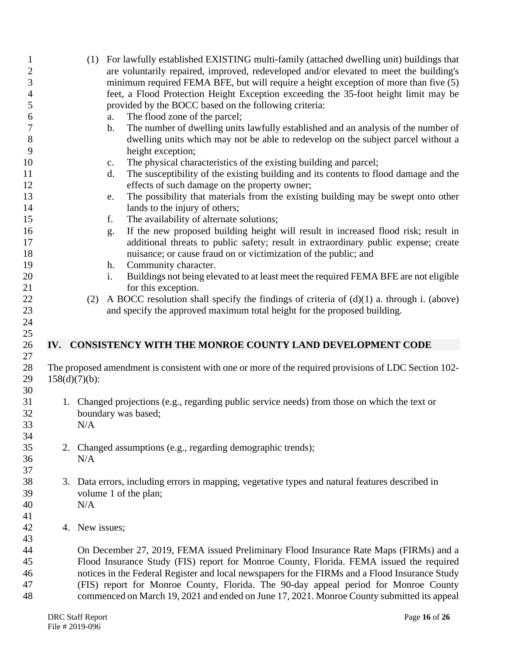| $\mathbf{1}$     |                  | (1) For lawfully established EXISTING multi-family (attached dwelling unit) buildings that           |
|------------------|------------------|------------------------------------------------------------------------------------------------------|
| $\overline{c}$   |                  | are voluntarily repaired, improved, redeveloped and/or elevated to meet the building's               |
| $\mathfrak{Z}$   |                  | minimum required FEMA BFE, but will require a height exception of more than five (5)                 |
| $\overline{4}$   |                  | feet, a Flood Protection Height Exception exceeding the 35-foot height limit may be                  |
| 5                |                  | provided by the BOCC based on the following criteria:                                                |
| 6                |                  | The flood zone of the parcel;<br>a.                                                                  |
| $\boldsymbol{7}$ |                  | The number of dwelling units lawfully established and an analysis of the number of<br>b.             |
| $8\,$            |                  | dwelling units which may not be able to redevelop on the subject parcel without a                    |
| 9                |                  | height exception;                                                                                    |
| 10               |                  | The physical characteristics of the existing building and parcel;<br>c.                              |
| 11               |                  | The susceptibility of the existing building and its contents to flood damage and the<br>d.           |
| 12               |                  | effects of such damage on the property owner;                                                        |
| 13               |                  | The possibility that materials from the existing building may be swept onto other<br>e.              |
| 14               |                  | lands to the injury of others;                                                                       |
| 15               |                  | The availability of alternate solutions;<br>f.                                                       |
| 16               |                  | If the new proposed building height will result in increased flood risk; result in<br>g.             |
| 17               |                  | additional threats to public safety; result in extraordinary public expense; create                  |
| 18               |                  | nuisance; or cause fraud on or victimization of the public; and                                      |
| 19               |                  | Community character.<br>h.                                                                           |
| 20               |                  | Buildings not being elevated to at least meet the required FEMA BFE are not eligible<br>i.           |
| 21               |                  | for this exception.                                                                                  |
| 22               | (2)              | A BOCC resolution shall specify the findings of criteria of $(d)(1)$ a. through i. (above)           |
| 23               |                  | and specify the approved maximum total height for the proposed building.                             |
| 24               |                  |                                                                                                      |
| 25               |                  |                                                                                                      |
| 26               |                  | IV. CONSISTENCY WITH THE MONROE COUNTY LAND DEVELOPMENT CODE                                         |
| 27               |                  |                                                                                                      |
| 28               |                  | The proposed amendment is consistent with one or more of the required provisions of LDC Section 102- |
| 29               | $158(d)(7)(b)$ : |                                                                                                      |
| 30               |                  |                                                                                                      |
| 31               |                  | 1. Changed projections (e.g., regarding public service needs) from those on which the text or        |
| 32               |                  | boundary was based;                                                                                  |
| 33               | N/A              |                                                                                                      |
| 34               |                  |                                                                                                      |
| 35               |                  | 2. Changed assumptions (e.g., regarding demographic trends);                                         |
| 36               | N/A              |                                                                                                      |
| 37               |                  |                                                                                                      |
| 38               |                  | 3. Data errors, including errors in mapping, vegetative types and natural features described in      |
| 39               |                  | volume 1 of the plan;                                                                                |
| 40               | N/A              |                                                                                                      |
| 41               |                  |                                                                                                      |
| 42               | 4. New issues;   |                                                                                                      |
| 43               |                  |                                                                                                      |
| 44               |                  | On December 27, 2019, FEMA issued Preliminary Flood Insurance Rate Maps (FIRMs) and a                |
| 45               |                  | Flood Insurance Study (FIS) report for Monroe County, Florida. FEMA issued the required              |
| 46               |                  | notices in the Federal Register and local newspapers for the FIRMs and a Flood Insurance Study       |
| 47               |                  | (FIS) report for Monroe County, Florida. The 90-day appeal period for Monroe County                  |
| 48               |                  | commenced on March 19, 2021 and ended on June 17, 2021. Monroe County submitted its appeal           |
|                  |                  |                                                                                                      |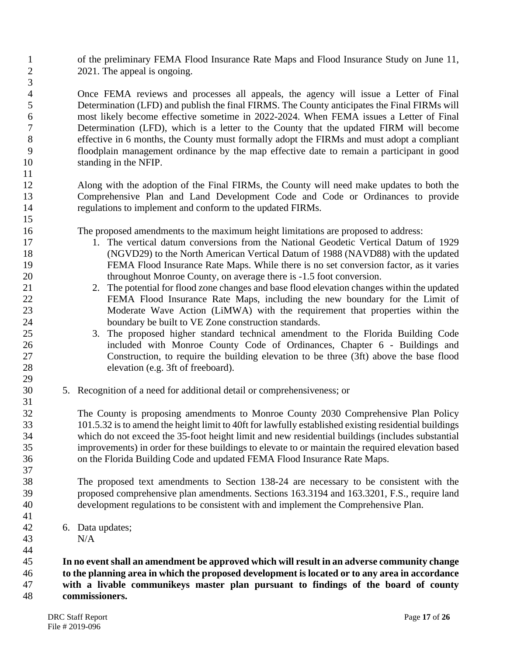of the preliminary FEMA Flood Insurance Rate Maps and Flood Insurance Study on June 11, 2 2021. The appeal is ongoing.

 Once FEMA reviews and processes all appeals, the agency will issue a Letter of Final Determination (LFD) and publish the final FIRMS. The County anticipates the Final FIRMs will most likely become effective sometime in 2022-2024. When FEMA issues a Letter of Final Determination (LFD), which is a letter to the County that the updated FIRM will become effective in 6 months, the County must formally adopt the FIRMs and must adopt a compliant floodplain management ordinance by the map effective date to remain a participant in good standing in the NFIP.

 Along with the adoption of the Final FIRMs, the County will need make updates to both the Comprehensive Plan and Land Development Code and Code or Ordinances to provide regulations to implement and conform to the updated FIRMs.

The proposed amendments to the maximum height limitations are proposed to address:

- 1. The vertical datum conversions from the National Geodetic Vertical Datum of 1929 (NGVD29) to the North American Vertical Datum of 1988 (NAVD88) with the updated FEMA Flood Insurance Rate Maps. While there is no set conversion factor, as it varies throughout Monroe County, on average there is -1.5 foot conversion.
- 2. The potential for flood zone changes and base flood elevation changes within the updated FEMA Flood Insurance Rate Maps, including the new boundary for the Limit of Moderate Wave Action (LiMWA) with the requirement that properties within the 24 boundary be built to VE Zone construction standards.
- 3. The proposed higher standard technical amendment to the Florida Building Code included with Monroe County Code of Ordinances, Chapter 6 - Buildings and Construction, to require the building elevation to be three (3ft) above the base flood elevation (e.g. 3ft of freeboard).
- 5. Recognition of a need for additional detail or comprehensiveness; or

 The County is proposing amendments to Monroe County 2030 Comprehensive Plan Policy 101.5.32 is to amend the height limit to 40ft for lawfully established existing residential buildings which do not exceed the 35-foot height limit and new residential buildings (includes substantial improvements) in order for these buildings to elevate to or maintain the required elevation based on the Florida Building Code and updated FEMA Flood Insurance Rate Maps.

 The proposed text amendments to Section 138-24 are necessary to be consistent with the proposed comprehensive plan amendments. Sections 163.3194 and 163.3201, F.S., require land development regulations to be consistent with and implement the Comprehensive Plan.

- 6. Data updates;
- N/A

 **In no event shall an amendment be approved which will result in an adverse community change to the planning area in which the proposed development is located or to any area in accordance with a livable communikeys master plan pursuant to findings of the board of county commissioners.**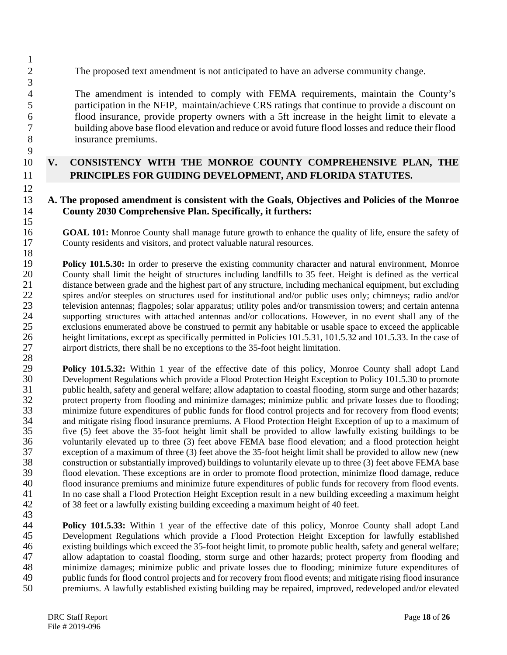2 The proposed text amendment is not anticipated to have an adverse community change.

 The amendment is intended to comply with FEMA requirements, maintain the County's participation in the NFIP, maintain/achieve CRS ratings that continue to provide a discount on flood insurance, provide property owners with a 5ft increase in the height limit to elevate a building above base flood elevation and reduce or avoid future flood losses and reduce their flood insurance premiums.

## 10 **V. CONSISTENCY WITH THE MONROE COUNTY COMPREHENSIVE PLAN, THE**  11 **PRINCIPLES FOR GUIDING DEVELOPMENT, AND FLORIDA STATUTES.**

#### 13 **A. The proposed amendment is consistent with the Goals, Objectives and Policies of the Monroe**  14 **County 2030 Comprehensive Plan. Specifically, it furthers:**

16 **GOAL 101:** Monroe County shall manage future growth to enhance the quality of life, ensure the safety of 17 County residents and visitors, and protect valuable natural resources.

 $\frac{18}{19}$ 19 **Policy 101.5.30:** In order to preserve the existing community character and natural environment, Monroe County shall limit the height of structures including landfills to 35 feet. Height is defined as the vertical 20 County shall limit the height of structures including landfills to 35 feet. Height is defined as the vertical distance between grade and the highest part of any structure, including mechanical equipment, but excluding distance between grade and the highest part of any structure, including mechanical equipment, but excluding 22 spires and/or steeples on structures used for institutional and/or public uses only; chimneys; radio and/or<br>23 television antennas: flagpoles: solar apparatus: utility poles and/or transmission towers: and certain anten 23 television antennas; flagpoles; solar apparatus; utility poles and/or transmission towers; and certain antenna<br>24 supporting structures with attached antennas and/or collocations. However, in no event shall any of the supporting structures with attached antennas and/or collocations. However, in no event shall any of the 25 exclusions enumerated above be construed to permit any habitable or usable space to exceed the applicable<br>26 height limitations, except as specifically permitted in Policies 101.5.31, 101.5.32 and 101.5.33. In the case height limitations, except as specifically permitted in Policies 101.5.31, 101.5.32 and 101.5.33. In the case of 27 airport districts, there shall be no exceptions to the 35-foot height limitation.

28 29 **Policy 101.5.32:** Within 1 year of the effective date of this policy, Monroe County shall adopt Land<br>30 Development Regulations which provide a Flood Protection Height Exception to Policy 101.5.30 to promote 30 Development Regulations which provide a Flood Protection Height Exception to Policy 101.5.30 to promote public health, safety and general welfare: allow adaptation to coastal flooding, storm surge and other hazards: public health, safety and general welfare; allow adaptation to coastal flooding, storm surge and other hazards; 32 protect property from flooding and minimize damages; minimize public and private losses due to flooding;<br>33 minimize future expenditures of public funds for flood control projects and for recovery from flood events; 33 minimize future expenditures of public funds for flood control projects and for recovery from flood events;<br>34 and mitigate rising flood insurance premiums. A Flood Protection Height Exception of up to a maximum of 34 and mitigate rising flood insurance premiums. A Flood Protection Height Exception of up to a maximum of five (5) feet above the 35-foot height limit shall be provided to allow lawfully existing buildings to be 35 five (5) feet above the 35-foot height limit shall be provided to allow lawfully existing buildings to be voluntarily elevated up to three (3) feet above FEMA base flood elevation: and a flood protection height 36 voluntarily elevated up to three (3) feet above FEMA base flood elevation; and a flood protection height exception of a maximum of three (3) feet above the 35-foot height limit shall be provided to allow new (new 37 exception of a maximum of three (3) feet above the 35-foot height limit shall be provided to allow new (new<br>38 construction or substantially improved) buildings to voluntarily elevate up to three (3) feet above FEMA bas 38 construction or substantially improved) buildings to voluntarily elevate up to three (3) feet above FEMA base<br>39 flood elevation. These exceptions are in order to promote flood protection, minimize flood damage, reduce 39 flood elevation. These exceptions are in order to promote flood protection, minimize flood damage, reduce flood insurance premiums and minimize future expenditures of public funds for recovery from flood events. flood insurance premiums and minimize future expenditures of public funds for recovery from flood events. 41 In no case shall a Flood Protection Height Exception result in a new building exceeding a maximum height 42 of 38 feet or a lawfully existing building exceeding a maximum height of 40 feet.

43 **Policy 101.5.33:** Within 1 year of the effective date of this policy, Monroe County shall adopt Land 45 Development Regulations which provide a Flood Protection Height Exception for lawfully established 46 existing buildings which exceed the 35-foot height limit, to promote public health, safety and general welfare; 47 allow adaptation to coastal flooding, storm surge and other hazards; protect property from flooding and 48 minimize damages; minimize public and private losses due to flooding; minimize future expenditures of public funds for flood control projects and for recovery from flood events; and mitigate rising flood insurance 49 public funds for flood control projects and for recovery from flood events; and mitigate rising flood insurance<br>50 premiums. A lawfully established existing building may be repaired, improved, redeveloped and/or elevate premiums. A lawfully established existing building may be repaired, improved, redeveloped and/or elevated

1

3

9

12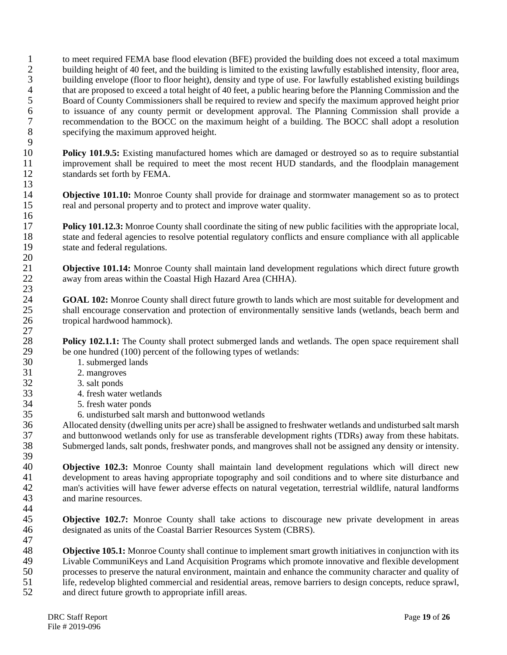1 to meet required FEMA base flood elevation (BFE) provided the building does not exceed a total maximum<br>2 building height of 40 feet, and the building is limited to the existing lawfully established intensity, floor area, building height of 40 feet, and the building is limited to the existing lawfully established intensity, floor area, 3 building envelope (floor to floor height), density and type of use. For lawfully established existing buildings 4 that are proposed to exceed a total height of 40 feet, a public hearing before the Planning Commission and the<br>5 Board of County Commissioners shall be required to review and specify the maximum approved height prior 5 Board of County Commissioners shall be required to review and specify the maximum approved height prior<br>6 to issuance of any county permit or development approval. The Planning Commission shall provide a 6 to issuance of any county permit or development approval. The Planning Commission shall provide a 7 recommendation to the BOCC on the maximum height of a building. The BOCC shall adopt a resolution specifying the maximum approved height. specifying the maximum approved height.

 $\frac{9}{10}$ 10 **Policy 101.9.5:** Existing manufactured homes which are damaged or destroyed so as to require substantial improvement shall be required to meet the most recent HUD standards, and the floodplain management 11 improvement shall be required to meet the most recent HUD standards, and the floodplain management standards set forth by FEMA. standards set forth by FEMA.  $\frac{13}{14}$ 

14 **Objective 101.10:** Monroe County shall provide for drainage and stormwater management so as to protect real and personal property and to protect and improve water quality. real and personal property and to protect and improve water quality.

17 **Policy 101.12.3:** Monroe County shall coordinate the siting of new public facilities with the appropriate local, state and federal agencies to resolve potential regulatory conflicts and ensure compliance with all appli 18 state and federal agencies to resolve potential regulatory conflicts and ensure compliance with all applicable state and federal regulations. state and federal regulations.

21 **Objective 101.14:** Monroe County shall maintain land development regulations which direct future growth away from areas within the Coastal High Hazard Area (CHHA). away from areas within the Coastal High Hazard Area (CHHA).

24 **GOAL 102:** Monroe County shall direct future growth to lands which are most suitable for development and shall encourage conservation and protection of environmentally sensitive lands (wetlands, beach berm and shall encourage conservation and protection of environmentally sensitive lands (wetlands, beach berm and 26 tropical hardwood hammock).

**Policy 102.1.1:** The County shall protect submerged lands and wetlands. The open space requirement shall be one hundred (100) percent of the following types of wetlands: 29 be one hundred (100) percent of the following types of wetlands:<br>30 1. submerged lands

- 1. submerged lands
- 
- 31 2. mangroves<br>32 3. salt ponds 3. salt ponds
- 33 4. fresh water wetlands
	-
- 34 5. fresh water ponds<br>35 6. undisturbed salt m

35 6. undisturbed salt marsh and buttonwood wetlands<br>36 Allocated density (dwelling units per acre) shall be assigned 36 Allocated density (dwelling units per acre) shall be assigned to freshwater wetlands and undisturbed salt marsh 37 and buttonwood wetlands only for use as transferable development rights (TDRs) away from these habitats.<br>38 Submerged lands, salt ponds, freshwater ponds, and mangroves shall not be assigned any density or intensity. Submerged lands, salt ponds, freshwater ponds, and mangroves shall not be assigned any density or intensity.

39 40 **Objective 102.3:** Monroe County shall maintain land development regulations which will direct new development to areas having appropriate topography and soil conditions and to where site disturbance and 41 development to areas having appropriate topography and soil conditions and to where site disturbance and<br>42 man's activities will have fewer adverse effects on natural vegetation, terrestrial wildlife, natural landforms 42 man's activities will have fewer adverse effects on natural vegetation, terrestrial wildlife, natural landforms and marine resources and marine resources.

44<br>45

16

 $\frac{20}{21}$ 

23

 $\frac{27}{28}$ 

**Objective 102.7:** Monroe County shall take actions to discourage new private development in areas 46 designated as units of the Coastal Barrier Resources System (CBRS). 47

**Objective 105.1:** Monroe County shall continue to implement smart growth initiatives in conjunction with its<br>49 Livable CommuniKevs and Land Acquisition Programs which promote innovative and flexible development 49 Livable CommuniKeys and Land Acquisition Programs which promote innovative and flexible development<br>50 rocesses to preserve the natural environment, maintain and enhance the community character and quality of 50 processes to preserve the natural environment, maintain and enhance the community character and quality of life, redevelop blighted commercial and residential areas, remove barriers to design concepts, reduce sprawl. 51 life, redevelop blighted commercial and residential areas, remove barriers to design concepts, reduce sprawl,<br>52 and direct future growth to appropriate infill areas. and direct future growth to appropriate infill areas.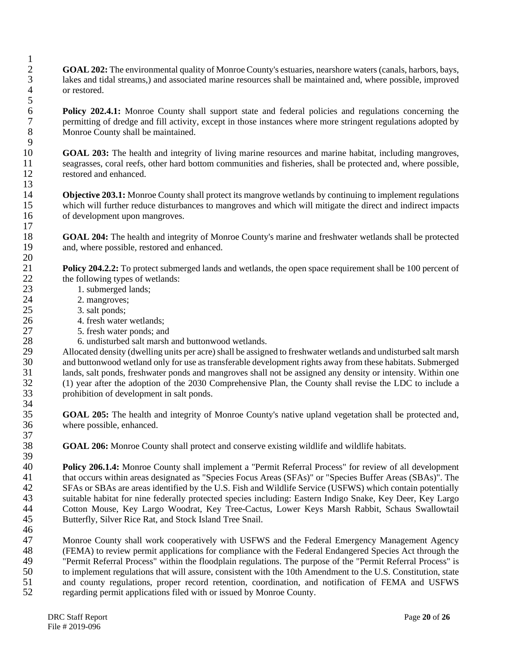- 2 **GOAL 202:** The environmental quality of Monroe County's estuaries, nearshore waters (canals, harbors, bays, 3 lakes and tidal streams,) and associated marine resources shall be maintained and, where possible, improved 4 or restored.
- **Policy 202.4.1:** Monroe County shall support state and federal policies and regulations concerning the permitting of dredge and fill activity, except in those instances where more stringent regulations adopted by 7 permitting of dredge and fill activity, except in those instances where more stringent regulations adopted by<br>8 Monroe County shall be maintained. Monroe County shall be maintained.
- $\frac{9}{10}$ 10 **GOAL 203:** The health and integrity of living marine resources and marine habitat, including mangroves, seagrasses, coral reefs, other hard bottom communities and fisheries, shall be protected and, where possible, 11 seagrasses, coral reefs, other hard bottom communities and fisheries, shall be protected and, where possible, restored and enhanced. restored and enhanced. 13
- 14 **Objective 203.1:** Monroe County shall protect its mangrove wetlands by continuing to implement regulations which will further reduce disturbances to mangroves and which will mitigate the direct and indirect impacts which will further reduce disturbances to mangroves and which will mitigate the direct and indirect impacts 16 of development upon mangroves.
- 18 **GOAL 204:** The health and integrity of Monroe County's marine and freshwater wetlands shall be protected 19 and, where possible, restored and enhanced.
- **Policy 204.2.2:** To protect submerged lands and wetlands, the open space requirement shall be 100 percent of the following types of wetlands: 22 the following types of wetlands:<br>23 1. submerged lands:
	- 1. submerged lands;
- 24 2. mangroves;<br>25 3. salt ponds:
	- 3. salt ponds;

 $\frac{1}{2}$ 

 $\frac{5}{6}$ 

 $\frac{17}{18}$ 

 $\frac{20}{21}$ 

 $\frac{37}{38}$ 

- 26 4. fresh water wetlands;
- 27 5. fresh water ponds; and<br>28 6. undisturbed salt marsh
	-
- 28 6. undisturbed salt marsh and buttonwood wetlands.<br>29 Allocated density (dwelling units per acre) shall be assign 29 Allocated density (dwelling units per acre) shall be assigned to freshwater wetlands and undisturbed salt marsh<br>30 and buttonwood wetland only for use as transferable development rights away from these habitats. Submerg and buttonwood wetland only for use as transferable development rights away from these habitats. Submerged 31 lands, salt ponds, freshwater ponds and mangroves shall not be assigned any density or intensity. Within one<br>32 (1) year after the adoption of the 2030 Comprehensive Plan, the County shall revise the LDC to include a 32 (1) year after the adoption of the 2030 Comprehensive Plan, the County shall revise the LDC to include a 33 prohibition of development in salt ponds. 34<br>35
- **GOAL 205:** The health and integrity of Monroe County's native upland vegetation shall be protected and, where possible, enhanced. where possible, enhanced.
	- GOAL 206: Monroe County shall protect and conserve existing wildlife and wildlife habitats.
- 39<br>40 40 **Policy 206.1.4:** Monroe County shall implement a "Permit Referral Process" for review of all development that occurs within areas designated as "Species Focus Areas (SFAs)" or "Species Buffer Areas (SBAs)". The 41 that occurs within areas designated as "Species Focus Areas (SFAs)" or "Species Buffer Areas (SBAs)". The SFAs or SBAs are areas identified by the U.S. Fish and Wildlife Service (USFWS) which contain potentially 42 SFAs or SBAs are areas identified by the U.S. Fish and Wildlife Service (USFWS) which contain potentially<br>43 suitable habitat for nine federally protected species including: Eastern Indigo Spake, Key Deer, Key Largo 43 suitable habitat for nine federally protected species including: Eastern Indigo Snake, Key Deer, Key Largo<br>44 Cotton Mouse, Key Largo Woodrat, Key Tree-Cactus, Lower Keys Marsh Rabbit, Schaus Swallowtail 44 Cotton Mouse, Key Largo Woodrat, Key Tree-Cactus, Lower Keys Marsh Rabbit, Schaus Swallowtail<br>45 Butterfly, Silver Rice Rat, and Stock Island Tree Snail. Butterfly, Silver Rice Rat, and Stock Island Tree Snail. 46
- 47 Monroe County shall work cooperatively with USFWS and the Federal Emergency Management Agency 48 (FEMA) to review permit applications for compliance with the Federal Endangered Species Act through the 49 "Permit Referral Process" within the floodplain regulations. The purpose of the "Permit Referral Process" is <sup>49</sup> "Permit Referral Process" within the floodplain regulations. The purpose of the "Permit Referral Process" is<br>50 to implement regulations that will assure, consistent with the 10th Amendment to the U.S. Constitution, s 50 to implement regulations that will assure, consistent with the 10th Amendment to the U.S. Constitution, state<br>51 and county regulations, proper record retention, coordination, and notification of FEMA and USFWS 51 and county regulations, proper record retention, coordination, and notification of FEMA and USFWS regarding permit applications filed with or issued by Monroe County. 52 regarding permit applications filed with or issued by Monroe County.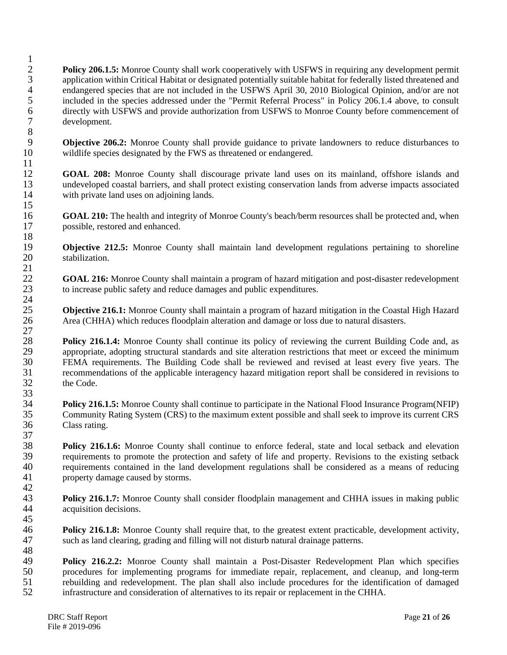$\frac{1}{2}$ **Policy 206.1.5:** Monroe County shall work cooperatively with USFWS in requiring any development permit 3 application within Critical Habitat or designated potentially suitable habitat for federally listed threatened and 4 endangered species that are not included in the USFWS April 30, 2010 Biological Opinion, and/or are not included in the species addressed under the "Permit Referral Process" in Policy 206.1.4 above, to consult 5 included in the species addressed under the "Permit Referral Process" in Policy 206.1.4 above, to consult directly with USFWS and provide authorization from USFWS to Monroe County before commencement of 6 directly with USFWS and provide authorization from USFWS to Monroe County before commencement of development. development. 8

9 **Objective 206.2:** Monroe County shall provide guidance to private landowners to reduce disturbances to wildlife species designated by the FWS as threatened or endangered. wildlife species designated by the FWS as threatened or endangered.

12 **GOAL 208:** Monroe County shall discourage private land uses on its mainland, offshore islands and undeveloped coastal barriers, and shall protect existing conservation lands from adverse impacts associated 13 undeveloped coastal barriers, and shall protect existing conservation lands from adverse impacts associated<br>14 units with private land uses on adjoining lands with private land uses on adjoining lands.

16 **GOAL 210:** The health and integrity of Monroe County's beach/berm resources shall be protected and, when 17 possible, restored and enhanced.

19 **Objective 212.5:** Monroe County shall maintain land development regulations pertaining to shoreline stabilization. stabilization

22 **GOAL 216:** Monroe County shall maintain a program of hazard mitigation and post-disaster redevelopment to increase public safety and reduce damages and public expenditures. 23 to increase public safety and reduce damages and public expenditures.

25 **Objective 216.1:** Monroe County shall maintain a program of hazard mitigation in the Coastal High Hazard 26 Area (CHHA) which reduces floodplain alteration and damage or loss due to natural disasters.

 $\frac{27}{28}$ **Policy 216.1.4:** Monroe County shall continue its policy of reviewing the current Building Code and, as appropriate, adopting structural standards and site alteration restrictions that meet or exceed the minimum 29 appropriate, adopting structural standards and site alteration restrictions that meet or exceed the minimum<br>30 EEMA requirements. The Building Code shall be reviewed and revised at least every five vears. The FEMA requirements. The Building Code shall be reviewed and revised at least every five years. The 31 recommendations of the applicable interagency hazard mitigation report shall be considered in revisions to the Code. the Code. 33

**Policy 216.1.5:** Monroe County shall continue to participate in the National Flood Insurance Program(NFIP)<br>35 Community Rating System (CRS) to the maximum extent possible and shall seek to improve its current CRS 35 Community Rating System (CRS) to the maximum extent possible and shall seek to improve its current CRS<br>36 Class rating. Class rating.

 $\frac{37}{38}$ **Policy 216.1.6:** Monroe County shall continue to enforce federal, state and local setback and elevation requirements to promote the protection and safety of life and property. Revisions to the existing setback 39 requirements to promote the protection and safety of life and property. Revisions to the existing setback<br>40 requirements contained in the land development regulations shall be considered as a means of reducing 40 requirements contained in the land development regulations shall be considered as a means of reducing property damage caused by storms. property damage caused by storms.

 $\frac{42}{43}$ **Policy 216.1.7:** Monroe County shall consider floodplain management and CHHA issues in making public acquisition decisions. acquisition decisions. 45

46 **Policy 216.1.8:** Monroe County shall require that, to the greatest extent practicable, development activity, 47 such as land clearing, grading and filling will not disturb natural drainage patterns.

48<br>49 49 **Policy 216.2.2:** Monroe County shall maintain a Post-Disaster Redevelopment Plan which specifies procedures for implementing programs for immediate repair, replacement, and cleanup, and long-term 50 procedures for implementing programs for immediate repair, replacement, and cleanup, and long-term<br>51 rebuilding and redevelopment. The plan shall also include procedures for the identification of damaged 51 rebuilding and redevelopment. The plan shall also include procedures for the identification of damaged<br>52 infrastructure and consideration of alternatives to its repair or replacement in the CHHA. infrastructure and consideration of alternatives to its repair or replacement in the CHHA.

 $\frac{11}{12}$ 

15

 $\frac{18}{19}$ 

 $\frac{21}{22}$ 

 $\frac{24}{25}$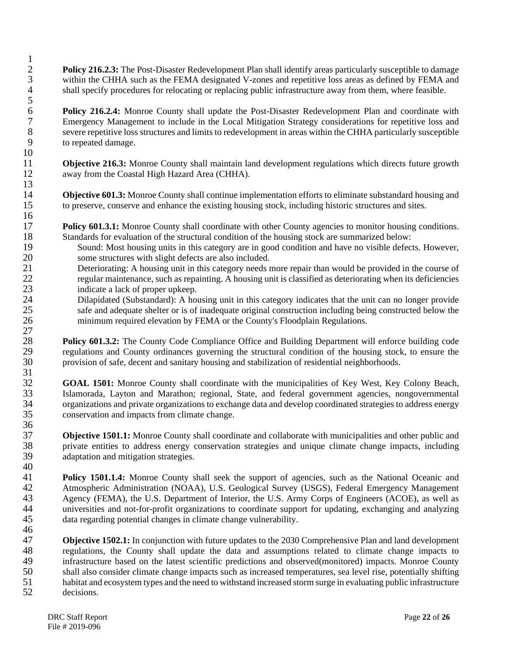**Policy 216.2.3:** The Post-Disaster Redevelopment Plan shall identify areas particularly susceptible to damage within the CHHA such as the FEMA designated V-zones and repetitive loss areas as defined by FEMA and within the CHHA such as the FEMA designated V-zones and repetitive loss areas as defined by FEMA and 4 shall specify procedures for relocating or replacing public infrastructure away from them, where feasible.

**Folicy 216.2.4:** Monroe County shall update the Post-Disaster Redevelopment Plan and coordinate with<br> **Policy 216.2.4:** Monroe County shall update the Post-Disaster Redevelopment Plan and coordinate with<br> **Policy 216.2.4:** 7 Emergency Management to include in the Local Mitigation Strategy considerations for repetitive loss and<br>8 severe repetitive loss structures and limits to redevelopment in areas within the CHHA particularly susceptible 8 severe repetitive loss structures and limits to redevelopment in areas within the CHHA particularly susceptible<br>9 severe repeated damage. to repeated damage.

 $\begin{array}{c} 10 \\ 11 \end{array}$ 11 **Objective 216.3:** Monroe County shall maintain land development regulations which directs future growth away from the Coastal High Hazard Area (CHHA). away from the Coastal High Hazard Area (CHHA).

14 **Objective 601.3:** Monroe County shall continue implementation efforts to eliminate substandard housing and to preserve, conserve and enhance the existing housing stock, including historic structures and sites. to preserve, conserve and enhance the existing housing stock, including historic structures and sites.

**Policy 601.3.1:** Monroe County shall coordinate with other County agencies to monitor housing conditions.<br>18 Standards for evaluation of the structural condition of the housing stock are summarized below: Standards for evaluation of the structural condition of the housing stock are summarized below:

- 19 Sound: Most housing units in this category are in good condition and have no visible defects. However,<br>20 some structures with slight defects are also included. 20 some structures with slight defects are also included.<br>21 Deteriorating: A housing unit in this category needs r
- 21 Deteriorating: A housing unit in this category needs more repair than would be provided in the course of regular maintenance, such as repainting. A housing unit is classified as deteriorating when its deficiencies regular maintenance, such as repainting. A housing unit is classified as deteriorating when its deficiencies 23 indicate a lack of proper upkeep.
- 24 Dilapidated (Substandard): A housing unit in this category indicates that the unit can no longer provide<br>25 safe and adequate shelter or is of inadequate original construction including being constructed below the safe and adequate shelter or is of inadequate original construction including being constructed below the 26 minimum required elevation by FEMA or the County's Floodplain Regulations.  $\frac{27}{28}$

**Policy 601.3.2:** The County Code Compliance Office and Building Department will enforce building code regulations and County ordinances governing the structural condition of the housing stock, to ensure the 29 regulations and County ordinances governing the structural condition of the housing stock, to ensure the provision of safe, decent and sanitary housing and stabilization of residential neighborhoods. provision of safe, decent and sanitary housing and stabilization of residential neighborhoods.

 $\frac{31}{32}$ 32 **GOAL 1501:** Monroe County shall coordinate with the municipalities of Key West, Key Colony Beach, Islamorada, Layton and Marathon; regional, State, and federal government agencies, nongovernmental Islamorada, Layton and Marathon; regional, State, and federal government agencies, nongovernmental 34 organizations and private organizations to exchange data and develop coordinated strategies to address energy conservation and impacts from climate change. conservation and impacts from climate change. 36

37 **Objective 1501.1:** Monroe County shall coordinate and collaborate with municipalities and other public and 38 private entities to address energy conservation strategies and unique climate change impacts, including adaptation and mitigation strategies. adaptation and mitigation strategies.

 $\begin{array}{c} 40 \\ 41 \end{array}$ 41 **Policy 1501.1.4:** Monroe County shall seek the support of agencies, such as the National Oceanic and Atmospheric Administration (NOAA), U.S. Geological Survey (USGS), Federal Emergency Management 42 Atmospheric Administration (NOAA), U.S. Geological Survey (USGS), Federal Emergency Management<br>43 Agency (FEMA), the U.S. Department of Interior, the U.S. Army Corps of Engineers (ACOE), as well as 43 Agency (FEMA), the U.S. Department of Interior, the U.S. Army Corps of Engineers (ACOE), as well as universities and not-for-profit organizations to coordinate support for updating, exchanging and analyzing 44 universities and not-for-profit organizations to coordinate support for updating, exchanging and analyzing data regarding potential changes in climate change vulnerability. data regarding potential changes in climate change vulnerability. 46

47 **Objective 1502.1:** In conjunction with future updates to the 2030 Comprehensive Plan and land development 48 regulations, the County shall update the data and assumptions related to climate change impacts to<br>49 infrastructure based on the latest scientific predictions and observed (monitored) impacts. Monroe County 49 infrastructure based on the latest scientific predictions and observed(monitored) impacts. Monroe County<br>50 shall also consider climate change impacts such as increased temperatures, sea level rise, potentially shifting 50 shall also consider climate change impacts such as increased temperatures, sea level rise, potentially shifting<br>51 habitat and ecosystem types and the need to withstand increased storm surge in evaluating public infrast 51 habitat and ecosystem types and the need to withstand increased storm surge in evaluating public infrastructure decisions. decisions.

 $\frac{1}{2}$ 

 $\frac{5}{6}$ 

13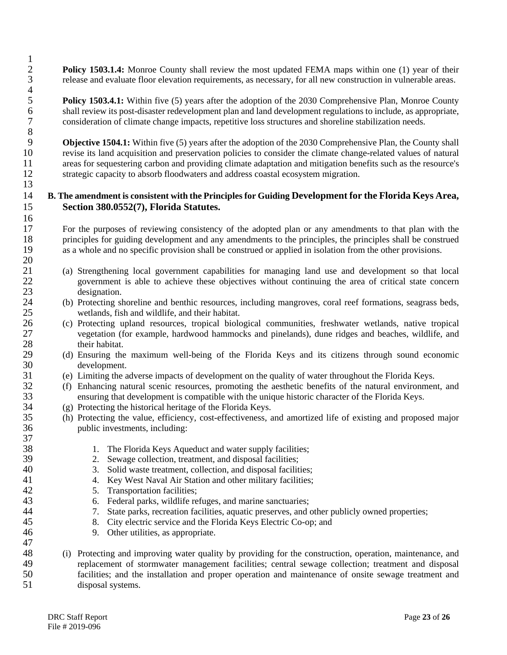**Policy 1503.1.4:** Monroe County shall review the most updated FEMA maps within one (1) year of their 3 release and evaluate floor elevation requirements, as necessary, for all new construction in vulnerable areas.

**5 Policy 1503.4.1:** Within five (5) years after the adoption of the 2030 Comprehensive Plan, Monroe County shall review its post-disaster redevelopment plan and land development regulations to include, as appropriate. 6 shall review its post-disaster redevelopment plan and land development regulations to include, as appropriate,<br>7 consideration of climate change impacts, repetitive loss structures and shoreline stabilization needs. 7 consideration of climate change impacts, repetitive loss structures and shoreline stabilization needs.

8 9 **Objective 1504.1:** Within five (5) years after the adoption of the 2030 Comprehensive Plan, the County shall revise its land acquisition and preservation policies to consider the climate change-related values of natural 10 revise its land acquisition and preservation policies to consider the climate change-related values of natural<br>11 areas for sequestering carbon and providing climate adaptation and mitigation benefits such as the resour 11 areas for sequestering carbon and providing climate adaptation and mitigation benefits such as the resource's<br>12 strategic capacity to absorb floodwaters and address coastal ecosystem migration. strategic capacity to absorb floodwaters and address coastal ecosystem migration. 13

#### 14 **B. The amendment is consistent with the Principles for Guiding Development for the Florida Keys Area,**  15 **Section 380.0552(7), Florida Statutes.**

17 For the purposes of reviewing consistency of the adopted plan or any amendments to that plan with the principles for guiding development and any amendments to the principles, the principles shall be construed 18 principles for guiding development and any amendments to the principles, the principles shall be construed as a whole and no specific provision shall be construed or applied in isolation from the other provisions. as a whole and no specific provision shall be construed or applied in isolation from the other provisions.

- 21 (a) Strengthening local government capabilities for managing land use and development so that local 22 government is able to achieve these objectives without continuing the area of critical state concern 23 designation.<br>24 (b) Protecting sl
- 24 (b) Protecting shoreline and benthic resources, including mangroves, coral reef formations, seagrass beds, wetlands, fish and wildlife, and their habitat. 25 wetlands, fish and wildlife, and their habitat.<br>26 (c) Protecting upland resources, tropical biology
- 26 (c) Protecting upland resources, tropical biological communities, freshwater wetlands, native tropical vegetation (for example, hardwood hammocks and pinelands), dune ridges and beaches, wildlife, and vegetation (for example, hardwood hammocks and pinelands), dune ridges and beaches, wildlife, and 28 their habitat.<br>29 (d) Ensuring the
- 29 (d) Ensuring the maximum well-being of the Florida Keys and its citizens through sound economic 30 development.
- 31 (e) Limiting the adverse impacts of development on the quality of water throughout the Florida Keys.
- 32 (f) Enhancing natural scenic resources, promoting the aesthetic benefits of the natural environment, and ensuring that development is compatible with the unique historic character of the Florida Keys. 33 ensuring that development is compatible with the unique historic character of the Florida Keys.
- 34 (g) Protecting the historical heritage of the Florida Keys.
- 35 (h) Protecting the value, efficiency, cost-effectiveness, and amortized life of existing and proposed major public investments, including:
- 38 1. The Florida Keys Aqueduct and water supply facilities;<br>39 2. Sewage collection, treatment, and disposal facilities;
- 39 2. Sewage collection, treatment, and disposal facilities;<br>3. Solid waste treatment, collection, and disposal facilit
- 40 3. Solid waste treatment, collection, and disposal facilities;<br>41 4. Key West Naval Air Station and other military facilities:
	- 4. Key West Naval Air Station and other military facilities;
- 42 5. Transportation facilities;
- 43 6. Federal parks, wildlife refuges, and marine sanctuaries;
- 44 7. State parks, recreation facilities, aquatic preserves, and other publicly owned properties;
- 45 8. City electric service and the Florida Keys Electric Co-op; and
- 46 9. Other utilities, as appropriate.

#### 47<br>48 48 (i) Protecting and improving water quality by providing for the construction, operation, maintenance, and replacement of stormwater management facilities: central sewage collection: treatment and disposal replacement of stormwater management facilities; central sewage collection; treatment and disposal 50 facilities; and the installation and proper operation and maintenance of onsite sewage treatment and disposal systems. disposal systems.

 $\frac{1}{2}$ 

 $rac{4}{5}$ 

 $\frac{16}{17}$ 

 $\frac{20}{21}$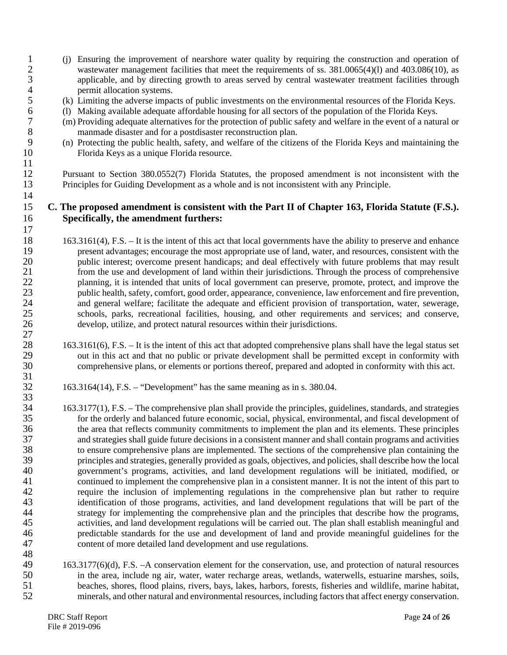- 1 (j) Ensuring the improvement of nearshore water quality by requiring the construction and operation of wastewater management facilities that meet the requirements of ss. 381.0065(4)(1) and 403.086(10), as wastewater management facilities that meet the requirements of ss.  $381.0065(4)(l)$  and  $403.086(10)$ , as 3 applicable, and by directing growth to areas served by central wastewater treatment facilities through 4 permit allocation systems.<br>5 (k) Limiting the adverse impact
- 5 (k) Limiting the adverse impacts of public investments on the environmental resources of the Florida Keys.<br>6 (1) Making available adequate affordable housing for all sectors of the population of the Florida Keys.
- 6 (l) Making available adequate affordable housing for all sectors of the population of the Florida Keys.
- 7 (m) Providing adequate alternatives for the protection of public safety and welfare in the event of a natural or 8 manmade disaster and for a postdisaster reconstruction plan.<br>9 (n) Protecting the public health, safety, and welfare of the citizen
- 9 (n) Protecting the public health, safety, and welfare of the citizens of the Florida Keys and maintaining the 10 Florida Keys as a unique Florida resource.

12 Pursuant to Section 380.0552(7) Florida Statutes, the proposed amendment is not inconsistent with the Principles for Guiding Development as a whole and is not inconsistent with any Principle. Principles for Guiding Development as a whole and is not inconsistent with any Principle.

#### 15 **C. The proposed amendment is consistent with the Part II of Chapter 163, Florida Statute (F.S.).**  16 **Specifically, the amendment furthers:**

- 163.3161(4), F.S. It is the intent of this act that local governments have the ability to preserve and enhance<br>19 resent advantages: encourage the most appropriate use of land, water, and resources, consistent with the 19 present advantages; encourage the most appropriate use of land, water, and resources, consistent with the public interest; overcome present handicaps; and deal effectively with future problems that may result public interest; overcome present handicaps; and deal effectively with future problems that may result 21 from the use and development of land within their jurisdictions. Through the process of comprehensive<br>22 flanning it is intended that units of local government can preserve, promote, protect, and improve the 22 planning, it is intended that units of local government can preserve, promote, protect, and improve the public health, safety, comfort, good order, appearance, convenience, law enforcement and fire prevention. public health, safety, comfort, good order, appearance, convenience, law enforcement and fire prevention, 24 and general welfare; facilitate the adequate and efficient provision of transportation, water, sewerage, schools, parks, recreational facilities, housing, and other requirements and services; and conserve, schools, parks, recreational facilities, housing, and other requirements and services; and conserve, 26 develop, utilize, and protect natural resources within their jurisdictions.
- 28 163.3161(6), F.S. It is the intent of this act that adopted comprehensive plans shall have the legal status set<br>29 out in this act and that no public or private development shall be permitted except in conformity with 29 out in this act and that no public or private development shall be permitted except in conformity with<br>30 comprehensive plans, or elements or portions thereof, prepared and adopted in conformity with this act. comprehensive plans, or elements or portions thereof, prepared and adopted in conformity with this act.
	- 32 163.3164(14), F.S. "Development" has the same meaning as in s. 380.04.

34 163.3177(1), F.S. – The comprehensive plan shall provide the principles, guidelines, standards, and strategies<br>35 for the orderly and balanced future economic, social, physical, environmental, and fiscal development of 35 for the orderly and balanced future economic, social, physical, environmental, and fiscal development of the area that reflects community commitments to implement the plan and its elements. These principles 36 the area that reflects community commitments to implement the plan and its elements. These principles and strategies shall guide future decisions in a consistent manner and shall contain programs and activities 37 and strategies shall guide future decisions in a consistent manner and shall contain programs and activities<br>38 to ensure comprehensive plans are implemented. The sections of the comprehensive plan containing the 38 to ensure comprehensive plans are implemented. The sections of the comprehensive plan containing the principles and strategies, generally provided as goals, objectives, and policies, shall describe how the local 39 principles and strategies, generally provided as goals, objectives, and policies, shall describe how the local 40 government's programs, activities, and land development regulations will be initiated, modified, or 41 continued to implement the comprehensive plan in a consistent manner. It is not the intent of this part to 42 require the inclusion of implementing regulations in the comprehensive plan but rather to require<br>43 identification of those programs, activities, and land development regulations that will be part of the 43 identification of those programs, activities, and land development regulations that will be part of the strategy for implementing the comprehensive plan and the principles that describe how the programs. 44 strategy for implementing the comprehensive plan and the principles that describe how the programs,<br>45 activities, and land development regulations will be carried out. The plan shall establish meaningful and activities, and land development regulations will be carried out. The plan shall establish meaningful and 46 predictable standards for the use and development of land and provide meaningful guidelines for the 47 content of more detailed land development and use regulations.

48<br>49 49 163.3177(6)(d), F.S. –A conservation element for the conservation, use, and protection of natural resources 50 in the area, include ng air, water, water recharge areas, wetlands, waterwells, estuarine marshes, soils, beaches, shores, flood plains, rivers, bays, lakes, harbors, forests, fisheries and wildlife, marine habitat, 51 beaches, shores, flood plains, rivers, bays, lakes, harbors, forests, fisheries and wildlife, marine habitat,<br>52 beaches, and other natural and environmental resources, including factors that affect energy conservation. minerals, and other natural and environmental resources, including factors that affect energy conservation.

 $\frac{11}{12}$ 

14

17

27

 $\frac{31}{32}$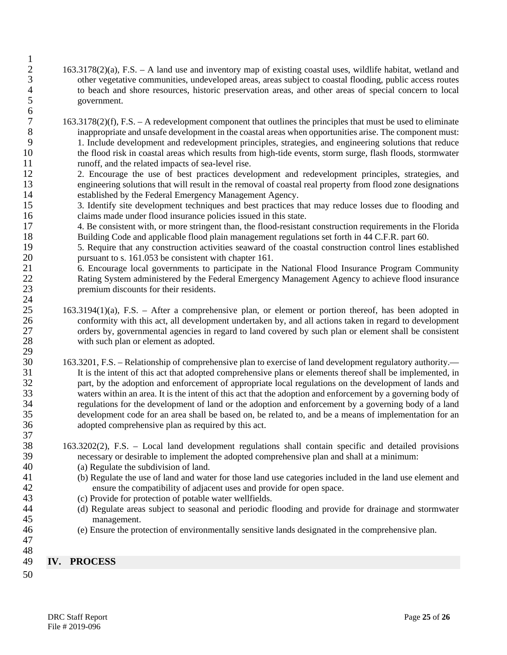- 2 163.3178(2)(a), F.S. A land use and inventory map of existing coastal uses, wildlife habitat, wetland and 3 other vegetative communities, undeveloped areas, areas subject to coastal flooding, public access routes 4 to beach and shore resources, historic preservation areas, and other areas of special concern to local 5 government.
- 7 163.3178(2)(f), F.S. A redevelopment component that outlines the principles that must be used to eliminate 8 inappropriate and unsafe development in the coastal areas when opportunities arise. The component must:<br>9 1. Include development and redevelopment principles, strategies, and engineering solutions that reduce 9 1. Include development and redevelopment principles, strategies, and engineering solutions that reduce<br>10 the flood risk in coastal areas which results from high-tide events, storm surge, flash floods, stormwater 10 the flood risk in coastal areas which results from high-tide events, storm surge, flash floods, stormwater 11
- 11 runoff, and the related impacts of sea-level rise.<br>12 2. Encourage the use of best practices devel 12 2. Encourage the use of best practices development and redevelopment principles, strategies, and engineering solutions that will result in the removal of coastal real property from flood zone designations engineering solutions that will result in the removal of coastal real property from flood zone designations
- 14 established by the Federal Emergency Management Agency.<br>15 3. Identify site development techniques and best practices t 15 3. Identify site development techniques and best practices that may reduce losses due to flooding and 16 claims made under flood insurance policies issued in this state.
- 17 4. Be consistent with, or more stringent than, the flood-resistant construction requirements in the Florida 18 Building Code and applicable flood plain management regulations set forth in 44 C.F.R. part 60.

19 5. Require that any construction activities seaward of the coastal construction control lines established 20 pursuant to s. 161.053 be consistent with chapter 161.<br>21 6. Encourage local governments to participate in the

- 21 6. Encourage local governments to participate in the National Flood Insurance Program Community<br>22 Rating System administered by the Federal Emergency Management Agency to achieve flood insurance Rating System administered by the Federal Emergency Management Agency to achieve flood insurance 23 premium discounts for their residents.
- $\frac{24}{25}$ 25 163.3194(1)(a), F.S. – After a comprehensive plan, or element or portion thereof, has been adopted in 26 conformity with this act, all development undertaken by, and all actions taken in regard to development 27 orders by, governmental agencies in regard to land covered by such plan or element shall be consistent 28 with such plan or element as adopted. with such plan or element as adopted. 29<br>30
- 163.3201, F.S. Relationship of comprehensive plan to exercise of land development regulatory authority.— 31 It is the intent of this act that adopted comprehensive plans or elements thereof shall be implemented, in part, by the adoption and enforcement of appropriate local regulations on the development of lands and part, by the adoption and enforcement of appropriate local regulations on the development of lands and 33 waters within an area. It is the intent of this act that the adoption and enforcement by a governing body of 34 regulations for the development of land or the adoption and enforcement by a governing body of a land<br>35 development code for an area shall be based on, be related to, and be a means of implementation for an 35 development code for an area shall be based on, be related to, and be a means of implementation for an adopted comprehensive plan as required by this act. adopted comprehensive plan as required by this act.
- 38 163.3202(2), F.S. Local land development regulations shall contain specific and detailed provisions necessary or desirable to implement the adopted comprehensive plan and shall at a minimum: 39 necessary or desirable to implement the adopted comprehensive plan and shall at a minimum:<br>40 (a) Regulate the subdivision of land.
- 40 (a) Regulate the subdivision of land.<br>41 (b) Regulate the use of land and wate
- 41 (b) Regulate the use of land and water for those land use categories included in the land use element and ensure the compatibility of adjacent uses and provide for open space. 42 ensure the compatibility of adjacent uses and provide for open space.<br>43 (c) Provide for protection of potable water wellfields.
- 43 (c) Provide for protection of potable water wellfields.<br>44 (d) Regulate areas subject to seasonal and periodic f
- 44 (d) Regulate areas subject to seasonal and periodic flooding and provide for drainage and stormwater management.
- 47

37

- 46 (e) Ensure the protection of environmentally sensitive lands designated in the comprehensive plan.
- 48

 $\frac{1}{2}$ 

 $\frac{6}{7}$ 

# 49 **IV. PROCESS**